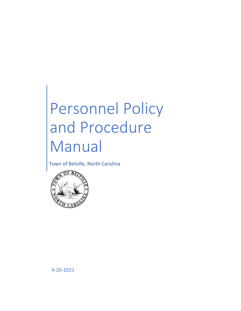# Personnel Policy and Procedure Manual

Town of Belville, North Carolina



4-26-2021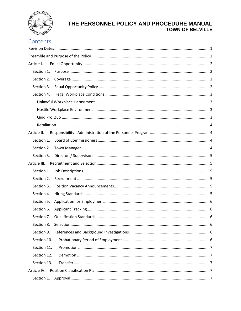

# Contents

| Section 1.   |  |  |  |
|--------------|--|--|--|
| Section 2.   |  |  |  |
| Section 3.   |  |  |  |
| Section 4.   |  |  |  |
|              |  |  |  |
|              |  |  |  |
|              |  |  |  |
|              |  |  |  |
| Article II.  |  |  |  |
|              |  |  |  |
| Section 2.   |  |  |  |
| Section 3.   |  |  |  |
| Article III. |  |  |  |
| Section 1.   |  |  |  |
| Section 2.   |  |  |  |
| Section 3.   |  |  |  |
| Section 4.   |  |  |  |
| Section 5.   |  |  |  |
| Section 6.   |  |  |  |
| Section 7.   |  |  |  |
|              |  |  |  |
| Section 9.   |  |  |  |
| Section 10.  |  |  |  |
| Section 11.  |  |  |  |
| Section 12.  |  |  |  |
| Section 13.  |  |  |  |
| Article IV.  |  |  |  |
| Section 1.   |  |  |  |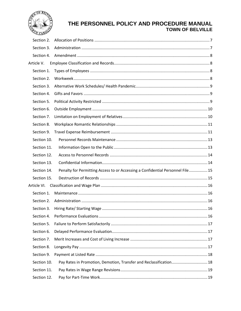

| Section 2.  |                                                                                |  |
|-------------|--------------------------------------------------------------------------------|--|
| Section 3.  |                                                                                |  |
| Section 4.  |                                                                                |  |
| Article V.  |                                                                                |  |
| Section 1.  |                                                                                |  |
| Section 2.  |                                                                                |  |
| Section 3.  |                                                                                |  |
| Section 4.  |                                                                                |  |
| Section 5.  |                                                                                |  |
| Section 6.  |                                                                                |  |
| Section 7.  |                                                                                |  |
| Section 8.  |                                                                                |  |
| Section 9.  |                                                                                |  |
| Section 10. |                                                                                |  |
| Section 11. |                                                                                |  |
| Section 12. |                                                                                |  |
| Section 13. |                                                                                |  |
| Section 14. | Penalty for Permitting Access to or Accessing a Confidential Personnel File 15 |  |
| Section 15. |                                                                                |  |
| Article VI. |                                                                                |  |
| Section 1.  |                                                                                |  |
| Section 2.  |                                                                                |  |
| Section 3.  |                                                                                |  |
| Section 4.  |                                                                                |  |
| Section 5.  |                                                                                |  |
| Section 6.  |                                                                                |  |
| Section 7.  |                                                                                |  |
| Section 8.  |                                                                                |  |
| Section 9.  |                                                                                |  |
| Section 10. | Pay Rates in Promotion, Demotion, Transfer and Reclassification 18             |  |
| Section 11. |                                                                                |  |
| Section 12. |                                                                                |  |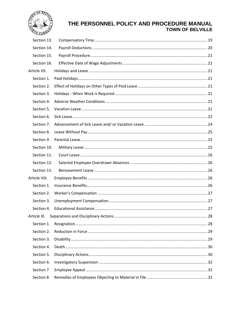

| Section 13.   |  |
|---------------|--|
| Section 14.   |  |
| Section 15.   |  |
| Section 16.   |  |
| Article VII.  |  |
| Section 1.    |  |
| Section 2.    |  |
| Section 3.    |  |
| Section 4.    |  |
| Section 5.    |  |
| Section 6.    |  |
| Section 7.    |  |
| Section 8.    |  |
| Section 9.    |  |
| Section 10.   |  |
| Section 11.   |  |
| Section 12.   |  |
| Section 13.   |  |
| Article VIII. |  |
| Section 1.    |  |
| Section 2.    |  |
| Section 3.    |  |
| Section 4.    |  |
| Article IX.   |  |
| Section 1.    |  |
| Section 2.    |  |
| Section 3.    |  |
| Section 4.    |  |
| Section 5.    |  |
| Section 6.    |  |
| Section 7     |  |
| Section 8     |  |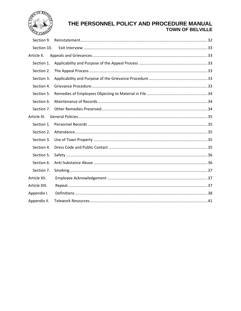

| Section 9.    |  |
|---------------|--|
| Section 10.   |  |
| Article X.    |  |
| Section 1.    |  |
| Section 2.    |  |
| Section 3.    |  |
| Section 4.    |  |
| Section 5.    |  |
| Section 6.    |  |
| Section 7.    |  |
| Article XI.   |  |
| Section 1.    |  |
| Section 2.    |  |
| Section 3.    |  |
| Section 4.    |  |
| Section 5.    |  |
| Section 6.    |  |
| Section 7.    |  |
| Article XII.  |  |
| Article XIII. |  |
| Appendix I.   |  |
| Appendix II.  |  |
|               |  |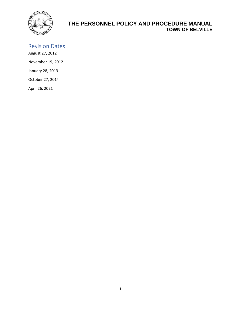

# <span id="page-5-0"></span>Revision Dates

August 27, 2012 November 19, 2012 January 28, 2013 October 27, 2014

April 26, 2021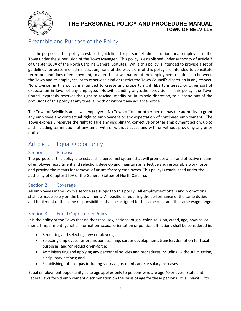

# <span id="page-6-0"></span>Preamble and Purpose of the Policy

It is the purpose of this policy to establish guidelines for personnel administration for all employees of the Town under the supervision of the Town Manager. This policy is established under authority of Article 7 of Chapter 160A of the North Carolina General Statutes. While this policy is intended to provide a set of guidelines for personnel administration, none of the provisions of this policy are intended to constitute terms or conditions of employment, to alter the at-will nature of the employment relationship between the Town and its employees, or to otherwise bind or restrict the Town Council's discretion in any respect. No provision in this policy is intended to create any property right, liberty interest, or other sort of expectation in favor of any employee. Notwithstanding any other provision in this policy, the Town Council expressly reserves the right to rescind, modify or, in its sole discretion, to suspend any of the provisions of this policy at any time, all with or without any advance notice.

The Town of Belville is an at-will employer. No Town official or other person has the authority to grant any employee any contractual right to employment or any expectation of continued employment. The Town expressly reserves the right to take any disciplinary, corrective or other employment action, up to and including termination, at any time, with or without cause and with or without providing any prior notice.

# <span id="page-6-1"></span>Article I. Equal Opportunity

#### <span id="page-6-2"></span>Section 1. Purpose

The purpose of this policy is to establish a personnel system that will promote a fair and effective means of employee recruitment and selection, develop and maintain an effective and responsible work force, and provide the means for removal of unsatisfactory employees. This policy is established under the authority of Chapter 160A of the General Statues of North Carolina.

#### <span id="page-6-3"></span>Section 2. Coverage

All employees in the Town's service are subject to this policy. All employment offers and promotions shall be made solely on the basis of merit. All positions requiring the performance of the same duties and fulfillment of the same responsibilities shall be assigned to the same class and the same wage range.

## <span id="page-6-4"></span>Section 3. Equal Opportunity Policy

It is the policy of the Town that neither race, sex, national origin, color, religion, creed, age, physical or mental impairment, genetic information, sexual orientation or political affiliations shall be considered in:

- Recruiting and selecting new employees;
- Selecting employees for promotion, training, career development, transfer, demotion for fiscal purposes, and/or reduction-in-force;
- Administrating and applying any personnel policies and procedures including, without limitation, disciplinary actions; and
- Establishing rates of pay including salary adjustments and/or salary increases.

Equal employment opportunity as to age applies only to persons who are age 40 or over. State and Federal laws forbid employment discrimination on the basis of age for these persons. It is unlawful "to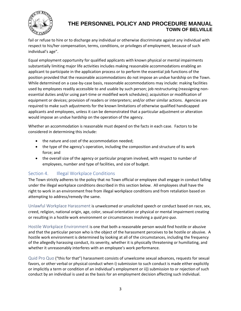

fail or refuse to hire or to discharge any individual or otherwise discriminate against any individual with respect to his/her compensation, terms, conditions, or privileges of employment, because of such individual's age".

Equal employment opportunity for qualified applicants with known physical or mental impairments substantially limiting major life activities includes making reasonable accommodations enabling an applicant to participate in the application process or to perform the essential job functions of the position provided that the reasonable accommodations do not impose an undue hardship on the Town. While determined on a case-by-case basis, reasonable accommodations may include: making facilities used by employees readily accessible to and usable by such person; job restructuring (reassigning nonessential duties and/or using part-time or modified work schedules); acquisition or modification of equipment or devices; provision of readers or interpreters; and/or other similar actions. Agencies are required to make such adjustments for the known limitations of otherwise qualified handicapped applicants and employees, unless it can be demonstrated that a particular adjustment or alteration would impose an undue hardship on the operation of the agency.

Whether an accommodation is reasonable must depend on the facts in each case. Factors to be considered in determining this include:

- the nature and cost of the accommodation needed;
- the type of the agency's operation, including the composition and structure of its work force; and
- the overall size of the agency or particular program involved, with respect to number of employees, number and type of facilities, and size of budget.

#### <span id="page-7-0"></span>Section 4. **Illegal Workplace Conditions**

The Town strictly adheres to the policy that no Town official or employee shall engage in conduct falling under the illegal workplace conditions described in this section below. All employees shall have the right to work in an environment free from illegal workplace conditions and from retaliation based on attempting to address/remedy the same.

<span id="page-7-1"></span>Unlawful Workplace Harassment is unwelcomed or unsolicited speech or conduct based on race, sex, creed, religion, national origin, age, color, sexual orientation or physical or mental impairment creating or resulting in a hostile work environment or circumstances involving a *quid pro quo*.

<span id="page-7-2"></span>Hostile Workplace Environment is one that both a reasonable person would find hostile or abusive and that the particular person who is the object of the harassment perceives to be hostile or abusive. A hostile work environment is determined by looking at all of the circumstances, including the frequency of the allegedly harassing conduct, its severity, whether it is physically threatening or humiliating, and whether it unreasonably interferes with an employee's work performance.

<span id="page-7-3"></span>Quid Pro Quo ("this for that") harassment consists of unwelcome sexual advances, requests for sexual favors, or other verbal or physical conduct when i) submission to such conduct is made either explicitly or implicitly a term or condition of an individual's employment or ii)) submission to or rejection of such conduct by an individual is used as the basis for an employment decision affecting such individual.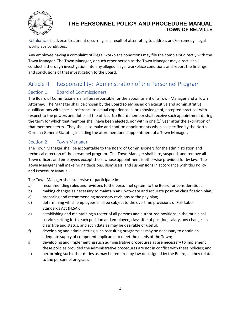

<span id="page-8-0"></span>Retaliation is adverse treatment occurring as a result of attempting to address and/or remedy illegal workplace conditions.

Any employee having a complaint of illegal workplace conditions may file the complaint directly with the Town Manager. The Town Manager, or such other person as the Town Manager may direct, shall conduct a thorough investigation into any alleged illegal workplace conditions and report the findings and conclusions of that investigation to the Board.

# <span id="page-8-1"></span>Article II. Responsibility: Administration of the Personnel Program

## <span id="page-8-2"></span>Section 1. Board of Commissioners

The Board of Commissioners shall be responsible for the appointment of a Town Manager and a Town Attorney. The Manager shall be chosen by the Board solely based on executive and administrative qualifications with special reference to actual experience in, or knowledge of, accepted practices with respect to the powers and duties of the office. No Board member shall receive such appointment during the term for which that member shall have been elected, nor within one (1) year after the expiration of that member's term. They shall also make and confirm appointments when so specified by the North Carolina General Statutes, including the aforementioned appointment of a Town Manager.

## <span id="page-8-3"></span>Section 2. Town Manager

The Town Manager shall be accountable to the Board of Commissioners for the administration and technical direction of the personnel program. The Town Manager shall hire, suspend, and remove all Town officers and employees except those whose appointment is otherwise provided for by law. The Town Manager shall make hiring decisions, dismissals, and suspensions in accordance with this Policy and Procedure Manual.

The Town Manager shall supervise or participate in:

- a) recommending rules and revisions to the personnel system to the Board for consideration;
- b) making changes as necessary to maintain an up-to-date and accurate position classification plan;
- c) preparing and recommending necessary revisions to the pay plan;
- d) determining which employees shall be subject to the overtime provisions of Fair Labor Standards Act (FLSA);
- e) establishing and maintaining a roster of all persons and authorized positions in the municipal service, setting forth each position and employee, class title of position, salary, any changes in class title and status, and such data as may be desirable or useful;
- f) developing and administering such recruiting programs as may be necessary to obtain an adequate supply of competent applicants to meet the needs of the Town;
- g) developing and implementing such administrative procedures as are necessary to implement these policies provided the administrative procedures are not in conflict with these policies; and
- h) performing such other duties as may be required by law or assigned by the Board, as they relate to the personnel program.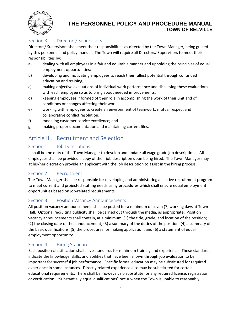

## <span id="page-9-0"></span>Section 3. Directors/ Supervisors

Directors/ Supervisors shall meet their responsibilities as directed by the Town Manager, being guided by this personnel and policy manual. The Town will require all Directors/ Supervisors to meet their responsibilities by:

- a) dealing with all employees in a fair and equitable manner and upholding the principles of equal employment opportunities;
- b) developing and motivating employees to reach their fullest potential through continued education and training;
- c) making objective evaluations of individual work performance and discussing these evaluations with each employee so as to bring about needed improvements;
- d) keeping employees informed of their role in accomplishing the work of their unit and of conditions or changes affecting their work;
- e) working with employees to create an environment of teamwork, mutual respect and collaborative conflict resolution;
- f) modeling customer service excellence; and
- g) making proper documentation and maintaining current files.

# <span id="page-9-1"></span>Article III. Recruitment and Selection

### <span id="page-9-2"></span>Section 1. Job Descriptions

It shall be the duty of the Town Manager to develop and update all wage grade job descriptions. All employees shall be provided a copy of their job description upon being hired. The Town Manager may at his/her discretion provide an applicant with the job description to assist in the hiring process.

#### <span id="page-9-3"></span>Section 2. Recruitment

The Town Manager shall be responsible for developing and administering an active recruitment program to meet current and projected staffing needs using procedures which shall ensure equal employment opportunities based on job-related requirements.

#### <span id="page-9-4"></span>Section 3. Position Vacancy Announcements

All position vacancy announcements shall be posted for a minimum of seven (7) working days at Town Hall. Optional recruiting publicity shall be carried out through the media, as appropriate. Position vacancy announcements shall contain, at a minimum, (1) the title, grade, and location of the position; (2) the closing date of the announcement; (3) a summary of the duties of the position; (4) a summary of the basic qualifications; (5) the procedures for making application; and (6) a statement of equal employment opportunity.

#### <span id="page-9-5"></span>Section 4. Hiring Standards

Each position classification shall have standards for minimum training and experience. These standards indicate the knowledge, skills, and abilities that have been shown through job evaluation to be important for successful job performance. Specific formal education may be substituted for required experience in some instances. Directly related experience also may be substituted for certain educational requirements. There shall be, however, no substitute for any required license, registration, or certification. "Substantially equal qualifications" occur when the Town is unable to reasonably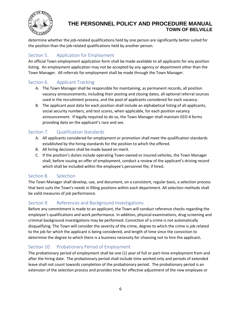

determine whether the job-related qualifications held by one person are significantly better suited for the position than the job-related qualifications held by another person.

## <span id="page-10-0"></span>Section 5. Application for Employment

An official Town employment application form shall be made available to all applicants for any position listing. An employment application may not be accepted by any agency or department other than the Town Manager. All referrals for employment shall be made through the Town Manager.

### <span id="page-10-1"></span>Section 6. Applicant Tracking

- A. The Town Manager shall be responsible for maintaining, as permanent records, all position vacancy announcements, including their posting and closing dates, all optional referral sources used in the recruitment process, and the pool of applicants considered for each vacancy.
- B. The applicant pool data for each position shall include an alphabetical listing of all applicants, social security numbers, and test scores, when applicable, for each position vacancy announcement. If legally required to do so, the Town Manager shall maintain EEO-4 forms providing data on the applicant's race and sex.

### <span id="page-10-2"></span>Section 7. Qualification Standards

- A. All applicants considered for employment or promotion shall meet the qualification standards established by the hiring standards for the position to which the offered.
- B. All hiring decisions shall be made based on merit.
- C. If the position's duties include operating Town-owned or insured vehicles, the Town Manager shall, before issuing an offer of employment, conduct a review of the applicant's driving record which shall be included within the employee's personnel file, if hired.

#### <span id="page-10-3"></span>Section 8. Selection

The Town Manager shall develop, use, and document, on a consistent, regular basis, a selection process that best suits the Town's needs in filling positions within each department. All selection methods shall be valid measures of job performance.

#### <span id="page-10-4"></span>Section 9. References and Background Investigations

Before any commitment is made to an applicant, the Town will conduct reference checks regarding the employee's qualifications and work performance. In addition, physical examinations, drug screening and criminal background investigations may be performed. Conviction of a crime is not automatically disqualifying. The Town will consider the severity of the crime, degree to which the crime is job related to the job for which the applicant is being considered, and length of time since the conviction to determine the degree to which there is a business necessity for choosing not to hire the applicant**.** 

## <span id="page-10-5"></span>Section 10. Probationary Period of Employment

The probationary period of employment shall be one (1) year of full or part-time employment from and after the hiring date. The probationary period shall include time worked only and periods of extended leave shall not count towards completion of the probationary period. The probationary period is an extension of the selection process and provides time for effective adjustment of the new employee or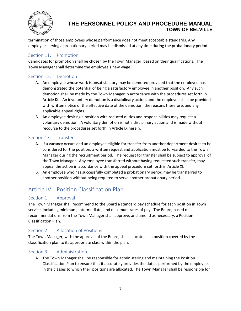

termination of those employees whose performance does not meet acceptable standards. Any employee serving a probationary period may be dismissed at any time during the probationary period.

#### <span id="page-11-0"></span>Section 11. Promotion

Candidates for promotion shall be chosen by the Town Manager, based on their qualifications. The Town Manager shall determine the employee's new wage.

#### <span id="page-11-1"></span>Section 12. Demotion

- A. An employee whose work is unsatisfactory may be demoted provided that the employee has demonstrated the potential of being a satisfactory employee in another position. Any such demotion shall be made by the Town Manager in accordance with the procedures set forth in Article IX. An involuntary demotion is a disciplinary action, and the employee shall be provided with written notice of the effective date of the demotion, the reasons therefore, and any applicable appeal rights.
- B. An employee desiring a position with reduced duties and responsibilities may request a voluntary demotion. A voluntary demotion is not a disciplinary action and is made without recourse to the procedures set forth in Article IX herein.

#### <span id="page-11-2"></span>Section 13. Transfer

- A. If a vacancy occurs and an employee eligible for transfer from another department desires to be considered for the position, a written request and application must be forwarded to the Town Manager during the recruitment period. The request for transfer shall be subject to approval of the Town Manager. Any employee transferred without having requested such transfer, may appeal the action in accordance with the appeal procedure set forth in Article XI.
- B. An employee who has successfully completed a probationary period may be transferred to another position without being required to serve another probationary period.

# <span id="page-11-3"></span>Article IV. Position Classification Plan

#### <span id="page-11-4"></span>Section 1. Approval

The Town Manager shall recommend to the Board a standard pay schedule for each position in Town service, including minimum, intermediate, and maximum rates of pay. The Board, based on recommendations from the Town Manager shall approve, and amend as necessary, a Position Classification Plan.

#### <span id="page-11-5"></span>Section 2. Allocation of Positions

The Town Manager, with the approval of the Board, shall allocate each position covered by the classification plan to its appropriate class within the plan.

#### <span id="page-11-6"></span>Section 3. Administration

A. The Town Manager shall be responsible for administering and maintaining the Position Classification Plan to ensure that it accurately provides the duties performed by the employees in the classes to which their positions are allocated. The Town Manager shall be responsible for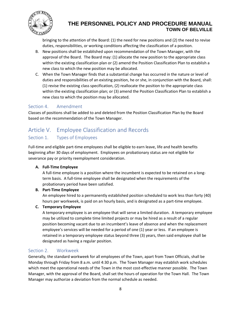

bringing to the attention of the Board: (1) the need for new positions and (2) the need to revise duties, responsibilities, or working conditions affecting the classification of a position.

- B. New positions shall be established upon recommendation of the Town Manager, with the approval of the Board. The Board may: (1) allocate the new position to the appropriate class within the existing classification plan or (2) amend the Position Classification Plan to establish a new class to which the new position may be allocated.
- C. When the Town Manager finds that a substantial change has occurred in the nature or level of duties and responsibilities of an existing position, he or she, in conjunction with the Board, shall: (1) revise the existing class specification, (2) reallocate the position to the appropriate class within the existing classification plan; or (3) amend the Position Classification Plan to establish a new class to which the position may be allocated.

#### <span id="page-12-0"></span>Section 4. Amendment

Classes of positions shall be added to and deleted from the Position Classification Plan by the Board based on the recommendation of the Town Manager.

# <span id="page-12-1"></span>Article V. Employee Classification and Records

#### <span id="page-12-2"></span>Section 1. Types of Employees

Full-time and eligible part-time employees shall be eligible to earn leave, life and health benefits beginning after 30 days of employment. Employees on probationary status are not eligible for severance pay or priority reemployment consideration.

#### **A. Full-Time Employee**

A full-time employee is a position where the incumbent is expected to be retained on a longterm basis. A full-time employee shall be designated when the requirements of the probationary period have been satisfied.

#### **B. Part-Time Employee**

An employee hired to a permanently established position scheduled to work less than forty (40) hours per workweek, is paid on an hourly basis, and is designated as a part-time employee.

#### **C. Temporary Employee**

A temporary employee is an employee that will serve a limited duration. A temporary employee may be utilized to complete time limited projects or may be hired as a result of a regular position becoming vacant due to an incumbent's leave of absence and when the replacement employee's services will be needed for a period of one (1) year or less. If an employee is retained in a temporary employee status beyond three (3) years, then said employee shall be designated as having a regular position.

#### <span id="page-12-3"></span>Section 2. Workweek

Generally, the standard workweek for all employees of the Town, apart from Town Officials, shall be Monday through Friday from 8 a.m. until 4:30 p.m. The Town Manager may establish work schedules which meet the operational needs of the Town in the most cost-effective manner possible. The Town Manager, with the approval of the Board, shall set the hours of operation for the Town Hall. The Town Manager may authorize a deviation from the normal schedule as needed.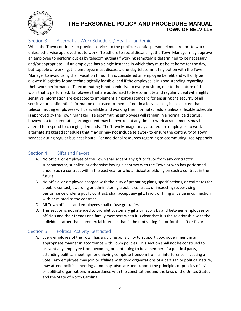

## <span id="page-13-0"></span>Section 3. Alternative Work Schedules/ Health Pandemic

While the Town continues to provide services to the public, essential personnel must report to work unless otherwise approved not to work. To adhere to social distancing, the Town Manager may approve an employee to perform duties by telecommuting (if working remotely is determined to be necessary and/or appropriate). If an employee has a single instance in which they must be at home for the day, but capable of working, the employee must discuss a one-day telecommuting option with the Town Manager to avoid using their vacation time. This is considered an employee benefit and will only be allowed if logistically and technologically feasible, and if the employee is in good standing regarding their work performance. Telecommuting is not conducive to every position, due to the nature of the work that is performed. Employees that are authorized to telecommute and regularly deal with highly sensitive information are expected to implement a rigorous standard for ensuring the security of all sensitive or confidential information entrusted to them. If not in a leave status, it is expected that telecommuting employees will be available and working their normal schedule unless a flexible schedule is approved by the Town Manager. Telecommuting employees will remain in a normal paid status; however, a telecommuting arrangement may be revoked at any time or work arrangements may be altered to respond to changing demands. The Town Manager may also require employees to work alternate staggered schedules that may or may not include telework to ensure the continuity of Town services during regular business hours. For additional resources regarding telecommuting, see Appendix II.

#### <span id="page-13-1"></span>Section 4. Gifts and Favors

- A. No official or employee of the Town shall accept any gift or favor from any contractor, subcontractor, supplier, or otherwise having a contract with the Town or who has performed under such a contract within the past year or who anticipates bidding on such a contract in the future.
- B. No official or employee charged with the duty of preparing plans, specifications, or estimates for a public contact, awarding or administering a public contract, or inspecting/supervising performance under a public contract, shall accept any gift, favor, or thing of value in connection with or related to the contract.
- C. All Town officials and employees shall refuse gratuities.
- D. This section is not intended to prohibit customary gifts or favors by and between employees or officials and their friends and family members when it is clear that it is the relationship with the individual rather than commercial interests that is the motivating factor for the gift or favor.

## <span id="page-13-2"></span>Section 5. Political Activity Restricted

A. Every employee of the Town has a civic responsibility to support good government in an appropriate manner in accordance with Town policies. This section shall not be construed to prevent any employee from becoming or continuing to be a member of a political party, attending political meetings, or enjoying complete freedom from all interference in casting a vote. Any employee may join or affiliate with civic organizations of a partisan or political nature, may attend political meetings, and may advocate and support the principles or policies of civic or political organizations in accordance with the constitutions and the laws of the United States and the State of North Carolina.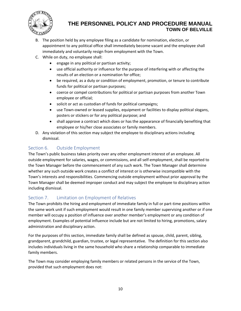

- B. The position held by any employee filing as a candidate for nomination, election, or appointment to any political office shall immediately become vacant and the employee shall immediately and voluntarily resign from employment with the Town.
- C. While on duty, no employee shall:
	- engage in any political or partisan activity;
	- use official authority or influence for the purpose of interfering with or affecting the results of an election or a nomination for office;
	- be required, as a duty or condition of employment, promotion, or tenure to contribute funds for political or partisan purposes;
	- coerce or compel contributions for political or partisan purposes from another Town employee or official;
	- solicit or act as custodian of funds for political campaigns;
	- use Town-owned or leased supplies, equipment or facilities to display political slogans, posters or stickers or for any political purpose; and
	- shall approve a contract which does or has the appearance of financially benefiting that employee or his/her close associates or family members.
- D. Any violation of this section may subject the employee to disciplinary actions including dismissal.

## <span id="page-14-0"></span>Section 6. Outside Employment

The Town's public business takes priority over any other employment interest of an employee. All outside employment for salaries, wages, or commissions, and all self-employment, shall be reported to the Town Manager before the commencement of any such work. The Town Manager shall determine whether any such outside work creates a conflict of interest or is otherwise incompatible with the Town's interests and responsibilities. Commencing outside employment without prior approval by the Town Manager shall be deemed improper conduct and may subject the employee to disciplinary action including dismissal.

## <span id="page-14-1"></span>Section 7. Limitation on Employment of Relatives

The Town prohibits the hiring and employment of immediate family in full or part-time positions within the same work unit if such employment would result in one family member supervising another or if one member will occupy a position of influence over another member's employment or any condition of employment. Examples of potential influence include but are not limited to hiring, promotions, salary administration and disciplinary action.

For the purposes of this section, immediate family shall be defined as spouse, child, parent, sibling, grandparent, grandchild, guardian, trustee, or legal representative. The definition for this section also includes individuals living in the same household who share a relationship comparable to immediate family members.

The Town may consider employing family members or related persons in the service of the Town, provided that such employment does not: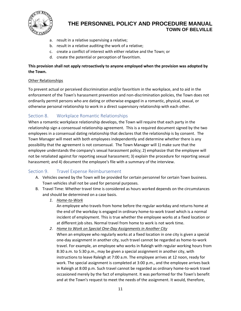

- a. result in a relative supervising a relative;
- b. result in a relative auditing the work of a relative;
- c. create a conflict of interest with either relative and the Town; or
- d. create the potential or perception of favoritism.

#### **This provision shall not apply retroactively to anyone employed when the provision was adopted by the Town.**

#### Other Relationships

To prevent actual or perceived discrimination and/or favoritism in the workplace, and to aid in the enforcement of the Town's harassment prevention and non-discrimination policies, the Town does not ordinarily permit persons who are dating or otherwise engaged in a romantic, physical, sexual, or otherwise personal relationship to work in a direct supervisory relationship with each other.

### <span id="page-15-0"></span>Section 8. Workplace Romantic Relationships

When a romantic workplace relationship develops, the Town will require that each party in the relationship sign a consensual relationship agreement. This is a required document signed by the two employees in a consensual dating relationship that declares that the relationship is by consent. The Town Manager will meet with both employees independently and determine whether there is any possibility that the agreement is not consensual. The Town Manager will 1) make sure that the employee understands the company's sexual harassment policy; 2) emphasize that the employee will not be retaliated against for reporting sexual harassment; 3) explain the procedure for reporting sexual harassment; and 4) document the employee's file with a summary of the interview.

#### <span id="page-15-1"></span>Section 9. Travel Expense Reimbursement

- A. Vehicles owned by the Town will be provided for certain personnel for certain Town business. Town vehicles shall not be used for personal purposes.
- B. Travel Time: Whether travel time is considered as hours worked depends on the circumstances and should be determined on a case basis.
	- *1. Home-to-Work*

An employee who travels from home before the regular workday and returns home at the end of the workday is engaged in ordinary home-to-work travel which is a normal incident of employment. This is true whether the employee works at a fixed location or at different job sites. Normal travel from home to work is not work time.

- *2. Home to Work on Special One-Day Assignments in Another City*
	- When an employee who regularly works at a fixed location in one city is given a special one-day assignment in another city, such travel cannot be regarded as home-to-work travel. For example, an employee who works in Raleigh with regular working hours from 8:30 a.m. to 5:30 p.m., may be given a special assignment in another city, with instructions to leave Raleigh at 7:00 a.m. The employee arrives at 12 noon, ready for work. The special assignment is completed at 3:00 p.m., and the employee arrives back in Raleigh at 8:00 p.m. Such travel cannot be regarded as ordinary home-to-work travel occasioned merely by the fact of employment. It was performed for the Town's benefit and at the Town's request to meet the needs of the assignment. It would, therefore,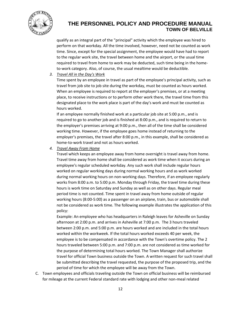

qualify as an integral part of the "principal" activity which the employee was hired to perform on that workday. All the time involved, however, need not be counted as work time. Since, except for the special assignment, the employee would have had to report to the regular work site, the travel between home and the airport, or the usual time required to travel from home to work may be deducted, such time being in the hometo-work category. Also, of course, the usual mealtime would be deductible.

#### *3. Travel All in the Day's Work*

Time spent by an employee in travel as part of the employee's principal activity, such as travel from job site to job site during the workday, must be counted as hours worked. When an employee is required to report at the employer's premises, or at a meeting place, to receive instructions or to perform other work there, the travel time from this designated place to the work place is part of the day's work and must be counted as hours worked.

If an employee normally finished work at a particular job site at 5:00 p.m., and is required to go to another job and is finished at 8:00 p.m., and is required to return to the employer's premises arriving at 9:00 p.m., then all of the time shall be considered working time. However, if the employee goes home instead of returning to the employer's premises, the travel after 8:00 p.m., in this example, shall be considered as home-to-work travel and not as hours worked.

*4. Travel Away From Home* 

Travel which keeps an employee away from home overnight is travel away from home. Travel time away from home shall be considered as work time when it occurs during an employee's regular scheduled workday. Any such work shall include regular hours worked on regular working days during normal working hours and as work worked during normal working hours on non-working days. Therefore, if an employee regularly works from 8:00 a.m. to 5:00 p.m. Monday through Friday, the travel time during these hours is work time on Saturday and Sunday as well as on other days. Regular meal period time is not counted. Time spent in travel away from home outside of regular working hours (8:00-5:00) as a passenger on an airplane, train, bus or automobile shall not be considered as work time. The following example illustrates the application of this policy:

Example: An employee who has headquarters in Raleigh leaves for Asheville on Sunday afternoon at 2:00 p.m. and arrives in Asheville at 7:00 p.m. The 3 hours traveled between 2:00 p.m. and 5:00 p.m. are hours worked and are included in the total hours worked within the workweek. If the total hours worked exceeds 40 per week, the employee is to be compensated in accordance with the Town's overtime policy. The 2 hours traveled between 5:00 p.m. and 7:00 p.m. are not considered as time worked for the purpose of determining total hours worked. The Town Manager shall authorize travel for official Town business outside the Town. A written request for such travel shall be submitted describing the travel requested, the purpose of the proposed trip, and the period of time for which the employee will be away from the Town.

C. Town employees and officials traveling outside the Town on official business will be reimbursed for mileage at the current Federal standard rate with lodging and other non-meal related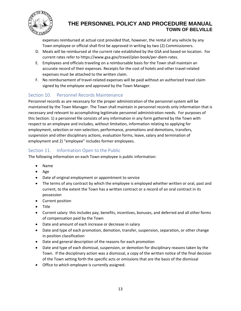

expenses reimbursed at actual cost provided that, however, the rental of any vehicle by any Town employee or official shall first be approved in writing by two (2) Commissioners.

- D. Meals will be reimbursed at the current rate established by the GSA and based on location. For current rates refer to https://www.gsa.gov/travel/plan-book/per-diem-rates.
- E. Employees and officials traveling on a reimbursable basis for the Town shall maintain an accurate record of their expenses. Receipts for the cost of hotels and other travel-related expenses must be attached to the written claim.
- F. No reimbursement of travel-related expenses will be paid without an authorized travel claim signed by the employee and approved by the Town Manager.

## <span id="page-17-0"></span>Section 10. Personnel Records Maintenance

Personnel records as are necessary for the proper administration of the personnel system will be maintained by the Town Manager. The Town shall maintain in personnel records only information that is necessary and relevant to accomplishing legitimate personnel administration needs. For purposes of this Section: 1) a personnel file consists of any information in any form gathered by the Town with respect to an employee and includes, without limitation, information relating to applying for employment, selection or non-selection, performance, promotions and demotions, transfers, suspension and other disciplinary actions, evaluation forms, leave, salary and termination of employment and 2) "employee" includes former employees.

#### <span id="page-17-1"></span>Section 11. Information Open to the Public

The following information on each Town employee is public information:

- Name
- Age
- Date of original employment or appointment to service
- The terms of any contract by which the employee is employed whether written or oral, past and current, to the extent the Town has a written contract or a record of an oral contract in its possession
- Current position
- Title
- Current salary: this includes pay, benefits, incentives, bonuses, and deferred and all other forms of compensation paid by the Town
- Date and amount of each increase or decrease in salary
- Date and type of each promotion, demotion, transfer, suspension, separation, or other change in position classification
- Date and general description of the reasons for each promotion
- Date and type of each dismissal, suspension, or demotion for disciplinary reasons taken by the Town. If the disciplinary action was a dismissal, a copy of the written notice of the final decision of the Town setting forth the specific acts or omissions that are the basis of the dismissal
- Office to which employee is currently assigned.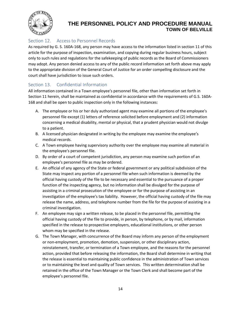

## <span id="page-18-0"></span>Section 12. Access to Personnel Records

As required by G. S. 160A-168, any person may have access to the information listed in section 11 of this article for the purpose of inspection, examination, and copying during regular business hours, subject only to such rules and regulations for the safekeeping of public records as the Board of Commissioners may adopt. Any person denied access to any of the public record information set forth above may apply to the appropriate division of the General Court of Justice for an order compelling disclosure and the court shall have jurisdiction to issue such orders.

#### <span id="page-18-1"></span>Section 13. Confidential Information

All information contained in a Town employee's personnel file, other than information set forth in Section 11 herein, shall be maintained as confidential in accordance with the requirements of G.S. 160A-168 and shall be open to public inspection only in the following instances:

- A. The employee or his or her duly authorized agent may examine all portions of the employee's personnel file except (1) letters of reference solicited before employment and (2) information concerning a medical disability, mental or physical, that a prudent physician would not divulge to a patient.
- B. A licensed physician designated in writing by the employee may examine the employee's medical records.
- C. A Town employee having supervisory authority over the employee may examine all material in the employee's personnel file.
- D. By order of a court of competent jurisdiction, any person may examine such portion of an employee's personnel file as may be ordered.
- E. An official of any agency of the State or federal government or any political subdivision of the State may inspect any portion of a personnel file when such information is deemed by the official having custody of the file to be necessary and essential to the pursuance of a proper function of the inspecting agency, but no information shall be divulged for the purpose of assisting in a criminal prosecution of the employee or for the purpose of assisting in an investigation of the employee's tax liability. However, the official having custody of the file may release the name, address, and telephone number from the file for the purpose of assisting in a criminal investigation.
- F. An employee may sign a written release, to be placed in the personnel file, permitting the official having custody of the file to provide, in person, by telephone, or by mail, information specified in the release to prospective employers, educational institutions, or other person whom may be specified in the release.
- G. The Town Manager, with concurrence of the Board may inform any person of the employment or non-employment, promotion, demotion, suspension, or other disciplinary action, reinstatement, transfer, or termination of a Town employee, and the reasons for the personnel action, provided that before releasing the information, the Board shall determine in writing that the release is essential to maintaining public confidence in the administration of Town services or to maintaining the level and quality of Town services. This written determination shall be retained in the office of the Town Manager or the Town Clerk and shall become part of the employee's personnel file.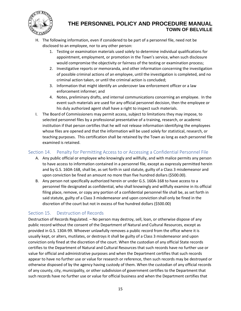

- H. The following information, even if considered to be part of a personnel file, need not be disclosed to an employee, nor to any other person:
	- 1. Testing or examination materials used solely to determine individual qualifications for appointment, employment, or promotion in the Town's service, when such disclosure would compromise the objectivity or fairness of the testing or examination process;
	- 2. Investigative reports or memoranda, and other information concerning the investigation of possible criminal actions of an employee, until the investigation is completed, and no criminal action taken, or until the criminal action is concluded;
	- 3. Information that might identify an undercover law enforcement officer or a law enforcement informer; and
	- 4. Notes, preliminary drafts, and internal communications concerning an employee. In the event such materials are used for any official personnel decision, then the employee or his duly authorized agent shall have a right to inspect such materials.
- I. The Board of Commissioners may permit access, subject to limitations they may impose, to selected personnel files by a professional presentative of a training, research, or academic institution if that person certifies that he will not release information identifying the employees whose files are opened and that the information will be used solely for statistical, research, or teaching purposes. This certification shall be retained by the Town as long as each personnel file examined is retained.

#### <span id="page-19-0"></span>Section 14. Penalty for Permitting Access to or Accessing a Confidential Personnel File

- A. Any public official or employee who knowingly and willfully, and with malice permits any person to have access to information contained in a personnel file, except as expressly permitted herein and by G.S. 160A-168, shall be, as set forth in said statute, guilty of a Class 3 misdemeanor and upon conviction be fined an amount no more than five hundred dollars (\$500.00).
- B. Any person not specifically authorized herein or under G.S. 160A-168 to have access to a personnel file designated as confidential, who shall knowingly and willfully examine in its official filing place, remove, or copy any portion of a confidential personnel file shall be, as set forth in said statute, guilty of a Class 3 misdemeanor and upon conviction shall only be fined in the discretion of the court but not in excess of five hundred dollars (\$500.00)

#### <span id="page-19-1"></span>Section 15. Destruction of Records

Destruction of Records Regulated. – No person may destroy, sell, loan, or otherwise dispose of any public record without the consent of the Department of Natural and Cultural Resources, except as provided in G.S. 130A-99. Whoever unlawfully removes a public record from the office where it is usually kept, or alters, mutilates, or destroys it shall be guilty of a Class 3 misdemeanor and upon conviction only fined at the discretion of the court. When the custodian of any official State records certifies to the Department of Natural and Cultural Resources that such records have no further use or value for official and administrative purposes and when the Department certifies that such records appear to have no further use or value for research or reference, then such records may be destroyed or otherwise disposed of by the agency having custody of them. When the custodian of any official records of any county, city, municipality, or other subdivision of government certifies to the Department that such records have no further use or value for official business and when the Department certifies that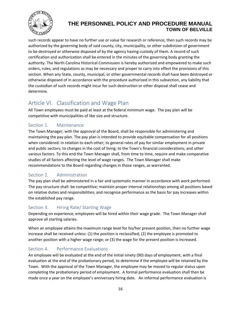

such records appear to have no further use or value for research or reference, then such records may be authorized by the governing body of said county, city, municipality, or other subdivision of government to be destroyed or otherwise disposed of by the agency having custody of them. A record of such certification and authorization shall be entered in the minutes of the governing body granting the authority. The North Carolina Historical Commission is hereby authorized and empowered to make such orders, rules, and regulations as may be necessary and proper to carry into effect the provisions of this section. When any State, county, municipal, or other governmental records shall have been destroyed or otherwise disposed of in accordance with the procedure authorized in this subsection, any liability that the custodian of such records might incur for such destruction or other disposal shall cease and determine.

# <span id="page-20-0"></span>Article VI. Classification and Wage Plan

All Town employees must be paid at least at the federal minimum wage. The pay plan will be competitive with municipalities of like size and structure.

## <span id="page-20-1"></span>Section 1. Maintenance

The Town Manager, with the approval of the Board, shall be responsible for administering and maintaining the pay plan. The pay plan is intended to provide equitable compensation for all positions when considered: in relation to each other; to general rates of pay for similar employment in private and public sectors; to changes in the cost of living; to the Town's financial considerations; and other various factors. To this end the Town Manager shall, from time to time, require and make comparative studies of all factors affecting the level of wage ranges. The Town Manager shall make recommendations to the Board regarding changes in those ranges, as warranted.

## <span id="page-20-2"></span>Section 2. Administration

The pay plan shall be administered in a fair and systematic manner in accordance with work performed. The pay structure shall: be competitive; maintain proper internal relationships among all positions based on relative duties and responsibilities; and recognize performance as the basis for pay increases within the established pay range.

#### <span id="page-20-3"></span>Section 3. Hiring Rate/ Starting Wage

Depending on experience, employees will be hired within their wage grade. The Town Manager shall approve all starting salaries.

When an employee attains the maximum range level for his/her present position, then no further wage increase shall be received unless: (1) the position is reclassified; (2) the employee is promoted to another position with a higher wage range; or (3) the wage for the present position is increased.

## <span id="page-20-4"></span>Section 4. Performance Evaluations

An employee will be evaluated at the end of the initial ninety (90) days of employment, with a final evaluation at the end of the probationary period, to determine if the employee will be retained by the Town. With the approval of the Town Manager, the employee may be moved to regular status upon completing the probationary period of employment. A formal performance evaluation shall then be made once a year on the employee's anniversary hiring date. An informal performance evaluation is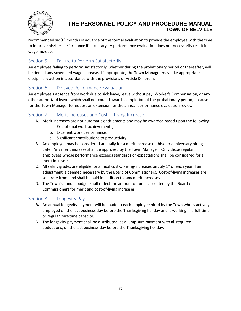

recommended six (6) months in advance of the formal evaluation to provide the employee with the time to improve his/her performance if necessary. A performance evaluation does not necessarily result in a wage increase.

## <span id="page-21-0"></span>Section 5. Failure to Perform Satisfactorily

An employee failing to perform satisfactorily, whether during the probationary period or thereafter, will be denied any scheduled wage increase. If appropriate, the Town Manager may take appropriate disciplinary action in accordance with the provisions of Article IX herein.

## <span id="page-21-1"></span>Section 6. Delayed Performance Evaluation

An employee's absence from work due to sick leave, leave without pay, Worker's Compensation, or any other authorized leave (which shall not count towards completion of the probationary period) is cause for the Town Manager to request an extension for the annual performance evaluation review.

### <span id="page-21-2"></span>Section 7. Merit Increases and Cost of Living Increase

- A. Merit increases are not automatic entitlements and may be awarded based upon the following:
	- a. Exceptional work achievements,
	- b. Excellent work performance,
	- c. Significant contributions to productivity.
- B. An employee may be considered annually for a merit increase on his/her anniversary hiring date. Any merit increase shall be approved by the Town Manager. Only those regular employees whose performance exceeds standards or expectations shall be considered for a merit increase.
- C. All salary grades are eligible for annual cost-of-living-increases on July  $1<sup>st</sup>$  of each year if an adjustment is deemed necessary by the Board of Commissioners. Cost-of-living increases are separate from, and shall be paid in addition to, any merit increases.
- D. The Town's annual budget shall reflect the amount of funds allocated by the Board of Commissioners for merit and cost-of-living increases.

#### <span id="page-21-3"></span>Section 8. Longevity Pay

- **A.** An annual longevity payment will be made to each employee hired by the Town who is actively employed on the last business day before the Thanksgiving holiday and is working in a full-time or regular part-time capacity.
- B. The longevity payment shall be distributed, as a lump sum payment with all required deductions, on the last business day before the Thanksgiving holiday.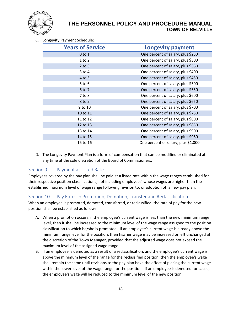

C. Longevity Payment Schedule:

| <b>Years of Service</b> | <b>Longevity payment</b>            |
|-------------------------|-------------------------------------|
| $0$ to $1$              | One percent of salary, plus \$250   |
| $1$ to $2$              | One percent of salary, plus \$300   |
| $2$ to $3$              | One percent of salary, plus \$350   |
| $3$ to $4$              | One percent of salary, plus \$400   |
| 4 to 5                  | One percent of salary, plus \$450   |
| $5$ to $6$              | One percent of salary, plus \$500   |
| 6 to 7                  | One percent of salary, plus \$550   |
| $7$ to $8$              | One percent of salary, plus \$600   |
| 8 to 9                  | One percent of salary, plus \$650   |
| 9 to 10                 | One percent of salary, plus \$700   |
| 10 to 11                | One percent of salary, plus \$750   |
| 11 to 12                | One percent of salary, plus \$800   |
| 12 to 13                | One percent of salary, plus \$850   |
| 13 to 14                | One percent of salary, plus \$900   |
| 14 to 15                | One percent of salary, plus \$950   |
| 15 to 16                | One percent of salary, plus \$1,000 |

D. The Longevity Payment Plan is a form of compensation that can be modified or eliminated at any time at the sole discretion of the Board of Commissioners.

#### <span id="page-22-0"></span>Section 9. Payment at Listed Rate

Employees covered by the pay plan shall be paid at a listed rate within the wage ranges established for their respective position classifications, not including employees' whose wages are higher than the established maximum level of wage range following revision to, or adoption of, a new pay plan.

#### <span id="page-22-1"></span>Section 10. Pay Rates in Promotion, Demotion, Transfer and Reclassification

When an employee is promoted, demoted, transferred, or reclassified, the rate of pay for the new position shall be established as follows:

- A. When a promotion occurs, if the employee's current wage is less than the new minimum range level, then it shall be increased to the minimum level of the wage range assigned to the position classification to which he/she is promoted. If an employee's current wage is already above the minimum range level for the position, then his/her wage may be increased or left unchanged at the discretion of the Town Manager, provided that the adjusted wage does not exceed the maximum level of the assigned wage range.
- B. If an employee is demoted as a result of a reclassification, and the employee's current wage is above the minimum level of the range for the reclassified position, then the employee's wage shall remain the same until revisions to the pay plan have the effect of placing the current wage within the lower level of the wage range for the position. If an employee is demoted for cause, the employee's wage will be reduced to the minimum level of the new position.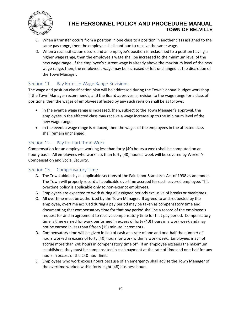

- C. When a transfer occurs from a position in one class to a position in another class assigned to the same pay range, then the employee shall continue to receive the same wage.
- D. When a reclassification occurs and an employee's position is reclassified to a position having a higher wage range, then the employee's wage shall be increased to the minimum level of the new wage range. If the employee's current wage is already above the maximum level of the new wage range, then, the employee's wage may be increased or left unchanged at the discretion of the Town Manager.

#### <span id="page-23-0"></span>Section 11. Pay Rates in Wage Range Revisions

The wage and position classification plan will be addressed during the Town's annual budget workshop. If the Town Manager recommends, and the Board approves, a revision to the wage range for a class of positions, then the wages of employees affected by any such revision shall be as follows:

- In the event a wage range is increased, then, subject to the Town Manager's approval, the employees in the affected class may receive a wage increase up to the minimum level of the new wage range.
- In the event a wage range is reduced, then the wages of the employees in the affected class shall remain unchanged.

### <span id="page-23-1"></span>Section 12. Pay for Part-Time Work

Compensation for an employee working less than forty (40) hours a week shall be computed on an hourly basis. All employees who work less than forty (40) hours a week will be covered by Worker's Compensation and Social Security.

#### <span id="page-23-2"></span>Section 13. Compensatory Time

- A. The Town abides by all applicable sections of the Fair Labor Standards Act of 1938 as amended. The Town will properly record all applicable overtime accrued for each covered employee. This overtime policy is applicable only to non-exempt employees.
- B. Employees are expected to work during all assigned periods exclusive of breaks or mealtimes.
- C. All overtime must be authorized by the Town Manager. If agreed to and requested by the employee, overtime accrued during a pay period may be taken as compensatory time and documenting that compensatory time for that pay period shall be a record of the employee's request for and in agreement to receive compensatory time for that pay period. Compensatory time is time earned for work performed in excess of forty (40) hours in a work week and may not be earned in less than fifteen (15) minute increments.
- D. Compensatory time will be given in lieu of cash at a rate of one and one-half the number of hours worked in excess of forty (40) hours for work within a work week. Employees may not accrue more than 240 hours in compensatory time off. If an employee exceeds the maximum established, they must be compensated in cash payment at the rate of time and one-half for any hours in excess of the 240-hour limit.
- E. Employees who work excess hours because of an emergency shall advise the Town Manager of the overtime worked within forty-eight (48) business hours.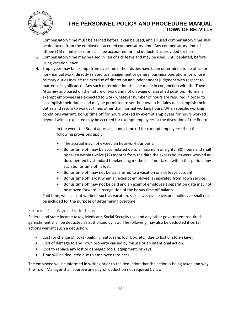

- F. Compensatory time must be earned before it can be used, and all used compensatory time shall be deducted from the employee's accrued compensatory time. Any compensatory time of fifteen (15) minutes or more shall be accounted for and deducted as provided for herein.
- G. Compensatory time may be used in lieu of sick leave and may be used, until depleted, before using vacation leave.
- H. Employees may be exempt from overtime if their duties have been determined to be office or non-manual work, directly related to management or general business operations, or whose primary duties include the exercise of discretion and independent judgment with respect to matters of significance. Any such determination shall be made in conjunction with the Town Attorney and based on the nature of work and not on wage or classified position. Normally, exempt employees are expected to work whatever number of hours are required in order to accomplish their duties and may be permitted to set their own schedules to accomplish their duties and return to work at times other than normal working hours. When specific working conditions warrant, bonus time off for hours worked by exempt employees for hours worked beyond with is expected may be accrued for exempt employees at the discretion of the Board.

In the event the Board approves bonus time off for exempt employees, then the following provisions apply:

- The accrual may not exceed an hour-for-hour basis.
- Bonus time off may be accumulated up to a maximum of eighty (80) hours and shall be taken within twelve (12) months from the date the excess hours were worked as documented by standard timekeeping methods. If not taken within this period, any such bonus time off is lost.
- Bonus time off may not be transferred to a vacation or sick leave account.
- Bonus time off is lost when an exempt employee is separated from Town service.
- Bonus time off may not be paid and an exempt employee's separation date may not be moved forward in recognition of the bonus time off balance.
- I. Paid time, which is not worked--such as vacation, sick leave, civil leave, and holidays—shall not be included for the purpose of determining overtime.

#### <span id="page-24-0"></span>Section 14. Payroll Deductions

Federal and state income taxes, Medicare, Social Security tax, and any other government required garnishment shall be deducted as authorized by law. The following may also be deducted if certain actions warrant such a deduction:

- Cost for change of locks (building, auto, safe, lock box, etc.) due to lost or stolen keys.
- Cost of damage to any Town property caused by misuse or an intentional action.
- Cost to replace any lost or damaged tools, equipment, or keys.
- Time will be deducted due to employee tardiness.

The employee will be informed in writing prior to the deduction that the action is being taken and why. The Town Manager shall approve any payroll deduction not required by law.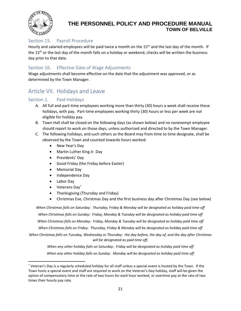

#### <span id="page-25-0"></span>Section 15. Payroll Procedure

Hourly and salaried employees will be paid twice a month on the 15<sup>th</sup> and the last day of the month. If the  $15<sup>th</sup>$  or the last day of the month falls on a holiday or weekend, checks will be written the business day prior to that date.

#### <span id="page-25-1"></span>Section 16. Effective Date of Wage Adjustments

Wage adjustments shall become effective on the date that the adjustment was approved, or as determined by the Town Manager.

## <span id="page-25-2"></span>Article VII. Holidays and Leave

#### <span id="page-25-3"></span>Section 1. Paid Holidays

- A. All full and part-time employees working more than thirty (30) hours a week shall receive these holidays, with pay. Part-time employees working thirty (30) hours or less per week are not eligible for holiday pay.
- B. Town Hall shall be closed on the following days (as shown below) and no nonexempt employee should report to work on those days, unless authorized and directed to by the Town Manager.
- C. The following holidays, and such others as the Board may from time to time designate, shall be observed by the Town and counted towards hours worked:
	- New Year's Day
	- Martin Luther King Jr. Day
	- Presidents' Day
	- Good Friday (the Friday before Easter)
	- Memorial Day
	- Independence Day
	- Labor Day
	- Veterans Day\*
	- Thanksgiving (Thursday and Friday)
	- Christmas Eve, Christmas Day and the first business day after Christmas Day (see below)

*When Christmas falls on Saturday: Thursday, Friday & Monday will be designated as holiday paid time off When Christmas falls on Sunday: Friday, Monday & Tuesday will be designated as holiday paid time off When Christmas falls on Monday: Friday, Monday & Tuesday will be designated as holiday paid time off When Christmas falls on Friday: Thursday, Friday & Monday will be designated as holiday paid time off*

*When Christmas falls on Tuesday, Wednesday or Thursday: the day before, the day of, and the day after Christmas will be designated as paid time off.* 

*When any other holiday falls on Saturday: Friday will be designated as holiday paid time off When any other holiday falls on Sunday: Monday will be designated as holiday paid time off*

<sup>\*</sup> Veteran's Day is a regularly scheduled holiday for all staff unless a special event is hosted by the Town. If the Town hosts a special event and staff are required to work on the Veteran's Day holiday, staff will be given the option of compensatory time at the rate of two hours for each hour worked, or overtime pay at the rate of two times their hourly pay rate.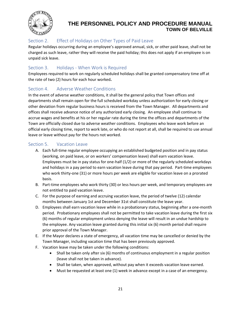

## <span id="page-26-0"></span>Section 2. Effect of Holidays on Other Types of Paid Leave

Regular holidays occurring during an employee's approved annual, sick, or other paid leave, shall not be charged as such leave, rather they will receive the paid holiday; this does not apply if an employee is on unpaid sick leave.

### <span id="page-26-1"></span>Section 3. Holidays - When Work is Required

Employees required to work on regularly scheduled holidays shall be granted compensatory time off at the rate of two (2) hours for each hour worked**.** 

#### <span id="page-26-2"></span>Section 4. Adverse Weather Conditions

In the event of adverse weather conditions, it shall be the general policy that Town offices and departments shall remain open for the full scheduled workday unless authorization for early closing or other deviation from regular business hours is received from the Town Manager. All departments and offices shall receive advance notice of any authorized early closing. An employee shall continue to accrue wages and benefits at his or her regular rate during the time the offices and departments of the Town are officially closed due to adverse weather conditions. Employees who leave work before an official early closing time, report to work late, or who do not report at all, shall be required to use annual leave or leave without pay for the hours not worked.

#### <span id="page-26-3"></span>Section 5. Vacation Leave

- A. Each full-time regular employee occupying an established budgeted position and in pay status (working, on paid leave, or on workers' compensation leave) shall earn vacation leave. Employees must be in pay status for one-half (1/2) or more of the regularly scheduled workdays and holidays in a pay period to earn vacation leave during that pay period. Part-time employees who work thirty-one (31) or more hours per week are eligible for vacation leave on a prorated basis.
- B. Part-time employees who work thirty (30) or less hours per week, and temporary employees are not entitled to paid vacation leave.
- C. For the purpose of earning and accruing vacation leave, the period of twelve (12) calendar months between January 1st and December 31st shall constitute the leave year.
- D. Employees shall earn vacation leave while in a probationary status, beginning after a one-month period. Probationary employees shall not be permitted to take vacation leave during the first six (6) months of regular employment unless denying the leave will result in an undue hardship to the employee. Any vacation leave granted during this initial six (6) month period shall require prior approval of the Town Manager.
- E. If the Mayor declares a state of emergency, all vacation time may be cancelled or denied by the Town Manager, including vacation time that has been previously approved.
- F. Vacation leave may be taken under the following conditions:
	- Shall be taken only after six (6) months of continuous employment in a regular position (leave shall not be taken in advance).
	- Shall be taken, when approved, without pay when it exceeds vacation leave earned.
	- Must be requested at least one (1) week in advance except in a case of an emergency.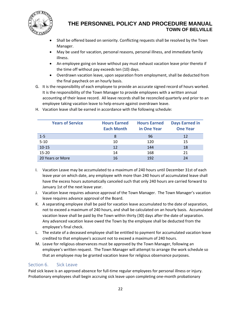

- Shall be offered based on seniority. Conflicting requests shall be resolved by the Town Manager.
- May be used for vacation, personal reasons, personal illness, and immediate family illness.
- An employee going on leave without pay must exhaust vacation leave prior thereto if the time off without pay exceeds ten (10) days.
- Overdrawn vacation leave, upon separation from employment, shall be deducted from the final paycheck on an hourly basis.
- G. It is the responsibility of each employee to provide an accurate signed record of hours worked. It is the responsibility of the Town Manager to provide employees with a written annual accounting of their leave record. All leave records shall be reconciled quarterly and prior to an employee taking vacation leave to help ensure against overdrawn leave.

| <b>Years of Service</b> | <b>Hours Earned</b><br><b>Each Month</b> | <b>Hours Earned</b><br>in One Year | <b>Days Earned in</b><br><b>One Year</b> |
|-------------------------|------------------------------------------|------------------------------------|------------------------------------------|
| $1 - 5$                 | 8                                        | 96                                 | 12                                       |
| $5 - 10$                | 10                                       | 120                                | 15                                       |
| $10 - 15$               | 12                                       | 144                                | 18                                       |
| $15 - 20$               | 14                                       | 168                                | 21                                       |
| 20 Years or More        | 16                                       | 192                                | 24                                       |

H. Vacation leave shall be earned in accordance with the following schedule:

- I. Vacation Leave may be accumulated to a maximum of 240 hours until December 31st of each leave year on which date, any employee with more than 240 hours of accumulated leave shall have the excess hours automatically canceled such that only 240 hours are carried forward to January 1st of the next leave year.
- J. Vacation leave requires advance approval of the Town Manager. The Town Manager's vacation leave requires advance approval of the Board.
- K. A separating employee shall be paid for vacation leave accumulated to the date of separation, not to exceed a maximum of 240 hours, and shall be calculated on an hourly basis. Accumulated vacation leave shall be paid by the Town within thirty (30) days after the date of separation. Any advanced vacation leave owed the Town by the employee shall be deducted from the employee's final check.
- L. The estate of a deceased employee shall be entitled to payment for accumulated vacation leave credited to that employee's account not to exceed a maximum of 240 hours.
- M. Leave for religious observances must be approved by the Town Manager, following an employee's written request. The Town Manager will attempt to arrange the work schedule so that an employee may be granted vacation leave for religious observance purposes.

#### <span id="page-27-0"></span>Section 6. Sick Leave

Paid sick leave is an approved absence for full-time regular employees for personal illness or injury. Probationary employees shall begin accruing sick leave upon completing one-month probationary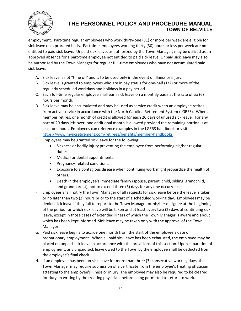

employment. Part-time regular employees who work thirty-one (31) or more per week are eligible for sick leave on a prorated basis. Part-time employees working thirty (30) hours or less per week are not entitled to paid sick leave**.** Unpaid sick leave, as authorized by the Town Manager, may be utilized as an approved absence for a part-time employee not entitled to paid sick leave. Unpaid sick leave may also be authorized by the Town Manager for regular full-time employees who have not accumulated paid sick leave.

- A. Sick leave is not "time off' and is to be used only in the event of illness or injury.
- B. Sick leave is granted to employees who are in pay status for one-half (1/2) or more of the regularly scheduled workdays and holidays in a pay period.
- C. Each full-time regular employee shall earn sick leave on a monthly basis at the rate of six (6) hours per month.
- D. Sick leave may be accumulated and may be used as service credit when an employee retires from active service in accordance with the North Carolina Retirement System (LGRES). When a member retires, one month of credit is allowed for each 20 days of unused sick leave. For any part of 20 days left over, one additional month is allowed provided the remaining portion is at least one hour. Employees can reference examples in the LGERS handbook or visit: [https://www.myncretirement.com/retirees/benefits/member-handbooks.](https://www.myncretirement.com/retirees/benefits/member-handbooks)
- E. Employees may be granted sick leave for the following:
	- Sickness or bodily injury preventing the employee from performing his/her regular duties.
	- Medical or dental appointments.
	- Pregnancy-related conditions.
	- Exposure to a contagious disease when continuing work might jeopardize the health of others.
	- Death in the employee's immediate family (spouse, parent, child, sibling, grandchild, and grandparent), not to exceed three (3) days for any one occurrence.
- F. Employees shall notify the Town Manager of all requests for sick leave before the leave is taken or no later than two (2) hours prior to the start of a scheduled working day**.** Employees may be denied sick leave if they fail to report to the Town Manager or his/her designee at the beginning of the period for which sick leave will be taken and at least every two (2) days of continuing sick leave, except in those cases of extended illness of which the Town Manager is aware and about which has been kept informed. Sick leave may be taken only with the approval of the Town Manager.
- G. Paid sick leave begins to accrue one month from the start of the employee's date of probationary employment. When all paid sick leave has been exhausted, the employee may be placed on unpaid sick leave in accordance with the provisions of this section. Upon separation of employment, any unpaid sick leave owed to the Town by the employee shall be deducted from the employee's final check.
- H. If an employee has been on sick leave for more than three (3) consecutive working days, the Town Manager may require submission of a certificate from the employee's treating physician attesting to the employee's illness or injury. The employee may also be required to be cleared for duty, in writing by the treating physician, before being permitted to return to work.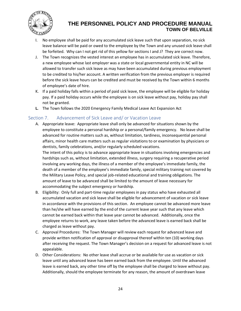

- I. No employee shall be paid for any accumulated sick leave such that upon separation, no sick leave balance will be paid or owed to the employee by the Town and any unused sick leave shall be forfeited. Why can I not get rid of this yellow for sections I and J? They are correct now.
- J. The Town recognizes the vested interest an employee has in accumulated sick leave. Therefore, a new employee whose last employer was a state or local governmental entity in NC will be allowed to transfer such sick leave as may have been accumulated during previous employment to be credited to his/her account. A written verification from the previous employer is required before the sick leave hours can be credited and must be received by the Town within 6 months of employee's date of hire.
- K. If a paid holiday falls within a period of paid sick leave, the employee will be eligible for holiday pay. If a paid holiday occurs while the employee is on sick leave without pay, holiday pay shall not be granted.
- **L.** The Town follows the 2020 Emergency Family Medical Leave Act Expansion Act

#### <span id="page-29-0"></span>Section 7. Advancement of Sick Leave and/ or Vacation Leave

A. Appropriate leave: Appropriate leave shall only be advanced for situations shown by the employee to constitute a personal hardship or a personal/family emergency. No leave shall be advanced for routine matters such as, without limitation, tardiness, inconsequential personal affairs, minor health care matters such as regular visitations to or examination by physicians or dentists, family celebrations, and/or regularly scheduled vacations.

The intent of this policy is to advance appropriate leave in situations involving emergencies and hardships such as, without limitation, extended illness, surgery requiring a recuperative period involving any working days, the illness of a member of the employee's immediate family, the death of a member of the employee's immediate family, special military training not covered by the Military Leave Policy, and special job-related educational and training obligations. The amount of leave to be advanced shall be limited to the amount of leave necessary for accommodating the subject emergency or hardship.

- B. Eligibility: Only full and part-time regular employees in pay status who have exhausted all accumulated vacation and sick leave shall be eligible for advancement of vacation or sick leave in accordance with the provisions of this section. An employee cannot be advanced more leave than he/she will have earned by the end of the current leave year such that any leave which cannot be earned back within that leave year cannot be advanced. Additionally, once the employee returns to work, any leave taken before the advanced leave is earned back shall be charged as leave without pay.
- C. Approval Procedures: The Town Manager will review each request for advanced leave and provide written notification of approval or disapproval thereof within ten (10) working days after receiving the request. The Town Manager's decision on a request for advanced leave is not appealable.
- D. Other Considerations: No other leave shall accrue or be available for use as vacation or sick leave until any advanced leave has been earned back from the employee. Until the advanced leave is earned back, any other time off by the employee shall be charged to leave without pay. Additionally, should the employee terminate for any reason, the amount of overdrawn leave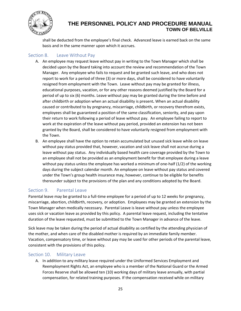

shall be deducted from the employee's final check. Advanced leave is earned back on the same basis and in the same manner upon which it accrues.

#### <span id="page-30-0"></span>Section 8. Leave Without Pay

- A. An employee may request leave without pay in writing to the Town Manager which shall be decided upon by the Board taking into account the review and recommendation of the Town Manager. Any employee who fails to request and be granted such leave, and who does not report to work for a period of three (3) or more days, shall be considered to have voluntarily resigned from employment with the Town. Leave without pay may be granted for illness, educational purposes, vacation, or for any other reasons deemed justified by the Board for a period of up to six (6) months. Leave without pay may be granted during the time before and after childbirth or adoption when an actual disability is present**.** When an actual disability caused or contributed to by pregnancy, miscarriage, childbirth, or recovery therefrom exists, employees shall be guaranteed a position of the same classification, seniority, and pay upon their return to work following a period of leave without pay. An employee failing to report to work at the expiration of the leave without pay period, provided an extension has not been granted by the Board, shall be considered to have voluntarily resigned from employment with the Town.
- B. An employee shall have the option to retain accumulated but unused sick leave while on leave without pay status provided that, however, vacation and sick leave shall not accrue during a leave without pay status. Any individually based health care coverage provided by the Town to an employee shall not be provided as an employment benefit for that employee during a leave without pay status unless the employee has worked a minimum of one-half (1/2) of the working days during the subject calendar month. An employee on leave without pay status and covered under the Town's group health insurance may, however, continue to be eligible for benefits thereunder subject to the provisions of the plan and any conditions adopted by the Board.

#### <span id="page-30-1"></span>Section 9. Parental Leave

Parental leave may be granted to a full-time employee for a period of up to 12 weeks for pregnancy, miscarriage, abortion, childbirth, recovery, or adoption. Employees may be granted an extension by the Town Manager when medically necessary. Parental Leave is leave without pay unless the employee uses sick or vacation leave as provided by this policy. A parental leave request, including the tentative duration of the leave requested, must be submitted to the Town Manager in advance of the leave.

Sick leave may be taken during the period of actual disability as certified by the attending physician of the mother, and when care of the disabled mother is required by an immediate family member. Vacation, compensatory time, or leave without pay may be used for other periods of the parental leave, consistent with the provisions of this policy.

#### <span id="page-30-2"></span>Section 10. Military Leave

A. In addition to any military leave required under the Uniformed Services Employment and Reemployment Rights Act, an employee who is a member of the National Guard or the Armed Forces Reserve shall be allowed ten (10) working days of military leave annually, with partial compensation, for related training purposes. If the compensation received while on military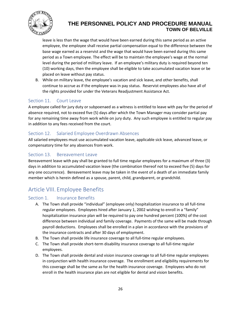

leave is less than the wage that would have been earned during this same period as an active employee, the employee shall receive partial compensation equal to the difference between the base wage earned as a reservist and the wage that would have been earned during this same period as a Town employee. The effect will be to maintain the employee's wage at the normal level during the period of military leave. If an employee's military duty is required beyond ten (10) working days, then the employee shall be eligible to take accumulated vacation leave or be placed on leave without pay status.

B. While on military leave, the employee's vacation and sick leave, and other benefits, shall continue to accrue as if the employee was in pay status. Reservist employees also have all of the rights provided for under the Veterans Readjustment Assistance Act.

#### <span id="page-31-0"></span>Section 11. Court Leave

A employee called for jury duty or subpoenaed as a witness is entitled to leave with pay for the period of absence required, not to exceed five (5) days after which the Town Manager may consider partial pay for any remaining time away from work while on jury duty. Any such employee is entitled to regular pay in addition to any fees received from the court.

#### <span id="page-31-1"></span>Section 12. Salaried Employee Overdrawn Absences

All salaried employees must use accumulated vacation leave, applicable sick leave, advanced leave, or compensatory time for any absences from work.

#### <span id="page-31-2"></span>Section 13. Bereavement Leave

Bereavement leave with pay shall be granted to full time regular employees for a maximum of three (3) days in addition to accumulated vacation leave (the combination thereof not to exceed five (5) days for any one occurrence). Bereavement leave may be taken in the event of a death of an immediate family member which is herein defined as a spouse, parent, child, grandparent, or grandchild.

# <span id="page-31-3"></span>Article VIII. Employee Benefits

#### <span id="page-31-4"></span>Section 1. Insurance Benefits

- A. The Town shall provide "individual" (employee only) hospitalization insurance to all full-time regular employees. Employees hired after January 1, 2002 wishing to enroll in a "family" hospitalization insurance plan will be required to pay one hundred percent (100%) of the cost difference between individual and family coverage. Payments of the same will be made through payroll deductions. Employees shall be enrolled in a plan in accordance with the provisions of the insurance contracts and after 30 days of employment.
- B. The Town shall provide life insurance coverage to all full-time regular employees.
- C. The Town shall provide short-term disability insurance coverage to all full-time regular employees.
- D. The Town shall provide dental and vision insurance coverage to all full-time regular employees in conjunction with health insurance coverage. The enrollment and eligibility requirements for this coverage shall be the same as for the health insurance coverage. Employees who do not enroll in the health insurance plan are not eligible for dental and vision benefits.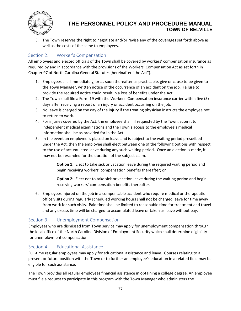

E. The Town reserves the right to negotiate and/or revise any of the coverages set forth above as well as the costs of the same to employees.

## <span id="page-32-0"></span>Section 2. Worker's Compensation

All employees and elected officials of the Town shall be covered by workers' compensation insurance as required by and in accordance with the provisions of the Workers' Compensation Act as set forth in Chapter 97 of North Carolina General Statutes (hereinafter "the Act").

- 1. Employees shall immediately, or as soon thereafter as practicable, give or cause to be given to the Town Manager, written notice of the occurrence of an accident on the job. Failure to provide the required notice could result in a loss of benefits under the Act.
- 2. The Town shall file a Form 19 with the Workers' Compensation insurance carrier within five (5) days after receiving a report of an injury or accident occurring on the job.
- 3. No leave is charged on the day of the injury if the treating physician instructs the employee not to return to work.
- 4. For injuries covered by the Act, the employee shall, if requested by the Town, submit to independent medical examinations and the Town's access to the employee's medical information shall be as provided for in the Act.
- 5. In the event an employee is placed on leave and is subject to the waiting period prescribed under the Act, then the employee shall elect between one of the following options with respect to the use of accumulated leave during any such waiting period. Once an election is made, it may not be rescinded for the duration of the subject claim.

**Option 1:** Elect to take sick or vacation leave during the required waiting period and begin receiving workers' compensation benefits thereafter; or

**Option 2:** Elect not to take sick or vacation leave during the waiting period and begin receiving workers' compensation benefits thereafter.

6. Employees injured on the job in a compensable accident who require medical or therapeutic office visits during regularly scheduled working hours shall not be charged leave for time away from work for such visits. Paid time shall be limited to reasonable time for treatment and travel and any excess time will be charged to accumulated leave or taken as leave without pay.

#### <span id="page-32-1"></span>Section 3. Unemployment Compensation

Employees who are dismissed from Town service may apply for unemployment compensation through the local office of the North Carolina Division of Employment Security which shall determine eligibility for unemployment compensation.

#### <span id="page-32-2"></span>Section 4. Educational Assistance

Full-time regular employees may apply for educational assistance and leave. Courses relating to a present or future position with the Town or to further an employee's education in a related field may be eligible for such assistance.

The Town provides all regular employees financial assistance in obtaining a college degree. An employee must file a request to participate in this program with the Town Manager who administers the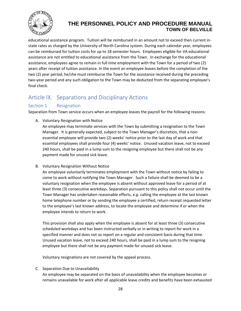

educational assistance program. Tuition will be reimbursed in an amount not to exceed then current instate rates as charged by the University of North Carolina system. During each calendar year, employees can be reimbursed for tuition costs for up to 18 semester hours. Employees eligible for VA educational assistance are not entitled to educational assistance from the Town. In exchange for the educational assistance, employees agree to remain in full time employment with the Town for a period of two (2) years after receipt of tuition assistance. In the event an employee leaves before the completion of the two (2) year period, he/she must reimburse the Town for the assistance received during the preceding two-year period and any such obligation to the Town may be deducted from the separating employee's final check.

# <span id="page-33-0"></span>Article IX. Separations and Disciplinary Actions

#### <span id="page-33-1"></span>Section 1. Resignation

Separation from Town service occurs when an employee leaves the payroll for the following reasons:

A. Voluntary Resignation with Notice

An employee may terminate services with the Town by submitting a resignation to the Town Manager. It is generally expected, subject to the Town Manager's discretion, that a nonessential employee will provide two (2) weeks' notice prior to the last day of work and that essential employees shall provide four (4) weeks' notice. Unused vacation leave, not to exceed 240 hours, shall be paid in a lump sum to the resigning employee but there shall not be any payment made for unused sick leave.

B. Voluntary Resignation Without Notice

An employee voluntarily terminates employment with the Town without notice by failing to come to work without notifying the Town Manager. Such a failure shall be deemed to be a voluntary resignation when the employee is absent without approved leave for a period of at least three (3) consecutive workdays. Separation pursuant to this policy shall not occur until the Town Manager has undertaken reasonable efforts, *e.g.* calling the employee at the last known home telephone number or by sending the employee a certified, return receipt requested letter to the employee's last known address, to locate the employee and determine if or when the employee intends to return to work.

This provision shall also apply when the employee is absent for at least three (3) consecutive scheduled workdays and has been instructed verbally or in writing to report for work in a specified manner and does not so report on a regular and consistent basis during that time. Unused vacation leave, not to exceed 240 hours, shall be paid in a lump sum to the resigning employee but there shall not be any payment made for unused sick leave.

Voluntary resignations are not covered by the appeal process.

C. Separation Due to Unavailability

An employee may be separated on the basis of unavailability when the employee becomes or remains unavailable for work after all applicable leave credits and benefits have been exhausted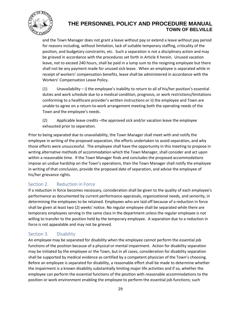

and the Town Manager does not grant a leave without pay or extend a leave without pay period for reasons including, without limitation, lack of suitable temporary staffing, criticality of the position, and budgetary constraints, etc. Such a separation is not a disciplinary action and may be grieved in accordance with the procedures set forth in Article X herein. Unused vacation leave, not to exceed 240 hours, shall be paid in a lump sum to the resigning employee but there shall not be any payment made for unused sick leave. When an employee is separated while in receipt of workers' compensation benefits, leave shall be administered in accordance with the Workers' Compensation Leave Policy.

(1) Unavailability – i) the employee's inability to return to all of his/her position's essential duties and work schedule due to a medical condition, prognosis, or work restrictions/limitations conforming to a healthcare provider's written instructions or ii) the employee and Town are unable to agree on a return-to-work arrangement meeting both the operating needs of the Town and the employee's needs.

(2) Applicable leave credits –the approved sick and/or vacation leave the employee exhausted prior to separation.

Prior to being separated due to unavailability, the Town Manager shall meet with and notify the employee in writing of the proposed separation, the efforts undertaken to avoid separation, and why those efforts were unsuccessful. The employee shall have the opportunity in this meeting to propose in writing alternative methods of accommodation which the Town Manager, shall consider and act upon within a reasonable time. If the Town Manager finds and concludes the proposed accommodations impose an undue hardship on the Town's operations, then the Town Manager shall notify the employee in writing of that conclusion, provide the proposed date of separation, and advise the employee of his/her grievance rights.

## <span id="page-34-0"></span>Section 2. Reduction in Force

If a reduction in force becomes necessary, consideration shall be given to the quality of each employee's performance as documented by current performance appraisals, organizational needs, and seniority, in determining the employees to be retained. Employees who are laid off because of a reduction in force shall be given at least two (2) weeks' notice. No regular employee shall be separated while there are temporary employees serving in the same class in the department unless the regular employee is not willing to transfer to the position held by the temporary employee. A separation due to a reduction in force is not appealable and may not be grieved.

## <span id="page-34-1"></span>Section 3. Disability

An employee may be separated for disability when the employee cannot perform the essential job functions of the position because of a physical or mental impairment. Action for disability separation may be initiated by the employee or the Town, but in all cases, consideration for disability separation shall be supported by medical evidence as certified by a competent physician of the Town's choosing. Before an employee is separated for disability, a reasonable effort shall be made to determine whether the impairment is a known disability substantially limiting major life activities and if so, whether the employee can perform the essential functions of the position with reasonable accommodations to the position or work environment enabling the employee to perform the essential job functions; such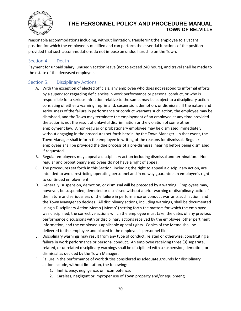

reasonable accommodations including, without limitation, transferring the employee to a vacant position for which the employee is qualified and can perform the essential functions of the position provided that such accommodations do not impose an undue hardship on the Town.

#### <span id="page-35-0"></span>Section 4. Death

Payment for unpaid salary, unused vacation leave (not to exceed 240 hours), and travel shall be made to the estate of the deceased employee.

#### <span id="page-35-1"></span>Section 5. Disciplinary Actions

- A. With the exception of elected officials, any employee who does not respond to informal efforts by a supervisor regarding deficiencies in work performance or personal conduct, or who is responsible for a serious infraction relative to the same, may be subject to a disciplinary action consisting of either a warning, reprimand, suspension, demotion, or dismissal. If the nature and seriousness of the failure in performance or conduct warrants such action, the employee may be dismissed, and the Town may terminate the employment of an employee at any time provided the action is not the result of unlawful discrimination or the violation of some other employment law. A non-regular or probationary employee may be dismissed immediately, without engaging in the procedures set forth herein, by the Town Manager. In that event, the Town Manager shall inform the employee in writing of the reasons for dismissal. Regular employees shall be provided the due process of a pre-dismissal hearing before being dismissed, if requested.
- B. Regular employees may appeal a disciplinary action including dismissal and termination. Nonregular and probationary employees do not have a right of appeal.
- C. The procedures set forth in this Section, including the right to appeal a disciplinary action, are intended to avoid restricting operating personnel and in no way guarantee an employee's right to continued employment.
- D. Generally, suspension, demotion, or dismissal will be preceded by a warning. Employees may, however, be suspended, demoted or dismissed without a prior warning or disciplinary action if the nature and seriousness of the failure in performance or conduct warrants such action, and the Town Manager so decides. All disciplinary actions, including warnings, shall be documented using a Disciplinary Action Memo ('Memo") setting forth the matters for which the employee was disciplined, the corrective actions which the employee must take, the dates of any previous performance discussions with or disciplinary actions received by the employee, other pertinent information, and the employee's applicable appeal rights. Copies of the Memo shall be delivered to the employee and placed in the employee's personnel file.
- E. Disciplinary warnings may result from any type of conduct, related or otherwise, constituting a failure in work performance or personal conduct. An employee receiving three (3) separate, related, or unrelated disciplinary warnings shall be disciplined with a suspension, demotion, or dismissal as decided by the Town Manager.
- F. Failure in the performance of work duties considered as adequate grounds for disciplinary action include, without limitation, the following:
	- 1. Inefficiency, negligence, or incompetence;
	- 2. Careless, negligent or improper use of Town property and/or equipment;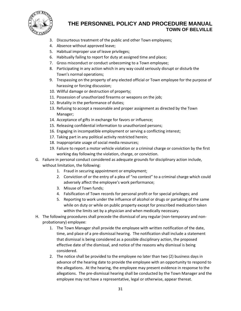

- 3. Discourteous treatment of the public and other Town employees;
- 4. Absence without approved leave;
- 5. Habitual improper use of leave privileges;
- 6. Habitually failing to report for duty at assigned time and place;
- 7. Gross misconduct or conduct unbecoming to a Town employee;
- 8. Participating in any action which in any way could seriously disrupt or disturb the Town's normal operations;
- 9. Trespassing on the property of any elected official or Town employee for the purpose of harassing or forcing discussion;
- 10. Willful damage or destruction of property;
- 11. Possession of unauthorized firearms or weapons on the job;
- 12. Brutality in the performance of duties;
- 13. Refusing to accept a reasonable and proper assignment as directed by the Town Manager;
- 14. Acceptance of gifts in exchange for favors or influence;
- 15. Releasing confidential information to unauthorized persons;
- 16. Engaging in incompatible employment or serving a conflicting interest;
- 17. Taking part in any political activity restricted herein;
- 18. Inappropriate usage of social media resources;
- 19. Failure to report a motor vehicle violation or a criminal charge or conviction by the first working day following the violation, charge, or conviction.
- G. Failure in personal conduct considered as adequate grounds for disciplinary action include, without limitation, the following:
	- 1. Fraud in securing appointment or employment;
	- 2. Conviction of or the entry of a plea of "no contest" to a criminal charge which could adversely affect the employee's work performance;
	- 3. Misuse of Town funds;
	- 4. Falsification of Town records for personal profit or for special privileges; and
	- 5. Reporting to work under the influence of alcohol or drugs or partaking of the same while on duty or while on public property except for prescribed medication taken within the limits set by a physician and when medically necessary.
- H. The following procedures shall precede the dismissal of any regular (non-temporary and nonprobationary) employee:
	- 1. The Town Manager shall provide the employee with written notification of the date, time, and place of a pre-dismissal hearing. The notification shall include a statement that dismissal is being considered as a possible disciplinary action, the proposed effective date of the dismissal, and notice of the reasons why dismissal is being considered.
	- 2. The notice shall be provided to the employee no later than two (2) business days in advance of the hearing date to provide the employee with an opportunity to respond to the allegations. At the hearing, the employee may present evidence in response to the allegations. The pre-dismissal hearing shall be conducted by the Town Manager and the employee may not have a representative, legal or otherwise, appear thereat.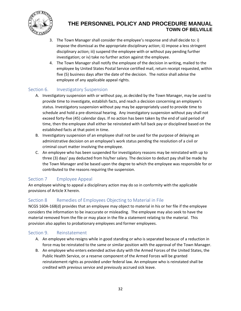

- 3. The Town Manager shall consider the employee's response and shall decide to: i) impose the dismissal as the appropriate disciplinary action; ii) impose a less stringent disciplinary action; iii) suspend the employee with or without pay pending further investigation; or iv) take no further action against the employee.
- 4. The Town Manager shall notify the employee of the decision in writing, mailed to the employee by United States Postal Service certified mail, return receipt requested, within five (5) business days after the date of the decision. The notice shall advise the employee of any applicable appeal rights.

#### <span id="page-37-0"></span>Section 6. Investigatory Suspension

- A. Investigatory suspension with or without pay, as decided by the Town Manager, may be used to provide time to investigate, establish facts, and reach a decision concerning an employee's status. Investigatory suspension without pay may be appropriately used to provide time to schedule and hold a pre-dismissal hearing. Any investigatory suspension without pay shall not exceed forty-five (45) calendar days. If no action has been taken by the end of said period of time, then the employee shall either be reinstated with full back pay or disciplined based on the established facts at that point in time.
- B. Investigatory suspension of an employee shall not be used for the purpose of delaying an administrative decision on an employee's work status pending the resolution of a civil or criminal court matter involving the employee.
- C. An employee who has been suspended for investigatory reasons may be reinstated with up to three (3) days' pay deducted from his/her salary. The decision to deduct pay shall be made by the Town Manager and be based upon the degree to which the employee was responsible for or contributed to the reasons requiring the suspension.

#### <span id="page-37-1"></span>Section 7 Employee Appeal

An employee wishing to appeal a disciplinary action may do so in conformity with the applicable provisions of Article X herein.

#### <span id="page-37-2"></span>Section 8 Remedies of Employees Objecting to Material in File

NCGS 160A-168(d) provides that an employee may object to material in his or her file if the employee considers the information to be inaccurate or misleading. The employee may also seek to have the material removed from the file or may place in the file a statement relating to the material. This provision also applies to probationary employees and former employees.

#### <span id="page-37-3"></span>Section 9. Reinstatement

- A. An employee who resigns while in good standing or who is separated because of a reduction in force may be reinstated to the same or similar position with the approval of the Town Manager.
- B. An employee who enters extended active duty with the Armed Forces of the United States, the Public Health Service, or a reserve component of the Armed Forces will be granted reinstatement rights as provided under federal law. An employee who is reinstated shall be credited with previous service and previously accrued sick leave.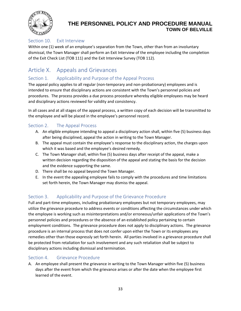

#### <span id="page-38-0"></span>Section 10. Exit Interview

Within one (1) week of an employee's separation from the Town, other than from an involuntary dismissal, the Town Manager shall perform an Exit Interview of the employee including the completion of the Exit Check List (TOB 111) and the Exit Interview Survey (TOB 112).

# <span id="page-38-1"></span>Article X. Appeals and Grievances

#### <span id="page-38-2"></span>Section 1. Applicability and Purpose of the Appeal Process

The appeal policy applies to all regular (non-temporary and non-probationary) employees and is intended to ensure that disciplinary actions are consistent with the Town's personnel policies and procedures. The process provides a due process procedure whereby eligible employees may be heard and disciplinary actions reviewed for validity and consistency.

In all cases and at all stages of the appeal process, a written copy of each decision will be transmitted to the employee and will be placed in the employee's personnel record.

#### <span id="page-38-3"></span>Section 2. The Appeal Process

- A. An eligible employee intending to appeal a disciplinary action shall, within five (5) business days after being disciplined, appeal the action in writing to the Town Manager.
- B. The appeal must contain the employee's response to the disciplinary action, the charges upon which it was based and the employee's desired remedy.
- C. The Town Manager shall, within five (5) business days after receipt of the appeal, make a written decision regarding the disposition of the appeal and stating the basis for the decision and the evidence supporting the same.
- D. There shall be no appeal beyond the Town Manager.
- E. In the event the appealing employee fails to comply with the procedures and time limitations set forth herein, the Town Manager may dismiss the appeal.

#### <span id="page-38-4"></span>Section 3. Applicability and Purpose of the Grievance Procedure

Full and part-time employees, including probationary employees but not temporary employees, may utilize the grievance procedure to address events or conditions affecting the circumstances under which the employee is working such as misinterpretations and/or erroneous/unfair applications of the Town's personnel policies and procedures or the absence of an established policy pertaining to certain employment conditions. The grievance procedure does not apply to disciplinary actions. The grievance procedure is an internal process that does not confer upon either the Town or its employees any remedies other than those expressly set forth herein. All parties involved in a grievance procedure shall be protected from retaliation for such involvement and any such retaliation shall be subject to disciplinary actions including dismissal and termination.

#### <span id="page-38-5"></span>Section 4. Grievance Procedure

A. An employee shall present the grievance in writing to the Town Manager within five (5) business days after the event from which the grievance arises or after the date when the employee first learned of the event.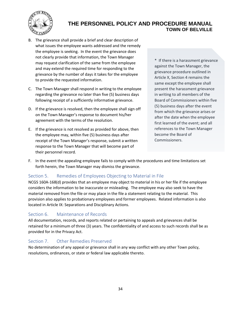

- B. The grievance shall provide a brief and clear description of what issues the employee wants addressed and the remedy the employee is seeking. In the event the grievance does not clearly provide that information, the Town Manager may request clarification of the same from the employee and may extend the required time for responding to the grievance by the number of days it takes for the employee to provide the requested information.
- C. The Town Manager shall respond in writing to the employee regarding the grievance no later than five (5) business days following receipt of a sufficiently informative grievance.
- D. If the grievance is resolved, then the employee shall sign off on the Town Manager's response to document his/her agreement with the terms of the resolution.
- E. If the grievance is not resolved as provided for above, then the employee may, within five (5) business days after receipt of the Town Manager's response, submit a written response to the Town Manager that will become part of their personnel record.

\* If there is a harassment grievance against the Town Manager, the grievance procedure outlined in Article X, Section 4 remains the same except the employee shall present the harassment grievance in writing to all members of the Board of Commissioners within five (5) business days after the event from which the grievance arises or after the date when the employee first learned of the event; and all references to the Town Manager become the Board of Commissioners.

F. In the event the appealing employee fails to comply with the procedures and time limitations set forth herein, the Town Manager may dismiss the grievance.

#### <span id="page-39-0"></span>Section 5. Remedies of Employees Objecting to Material in File

NCGS 160A-168(d) provides that an employee may object to material in his or her file if the employee considers the information to be inaccurate or misleading. The employee may also seek to have the material removed from the file or may place in the file a statement relating to the material. This provision also applies to probationary employees and former employees. Related information is also located in Article IX: Separations and Disciplinary Actions.

#### <span id="page-39-1"></span>Section 6. Maintenance of Records

All documentation, records, and reports related or pertaining to appeals and grievances shall be retained for a minimum of three (3) years. The confidentiality of and access to such records shall be as provided for in the Privacy Act.

#### <span id="page-39-2"></span>Section 7. Other Remedies Preserved

No determination of any appeal or grievance shall in any way conflict with any other Town policy, resolutions, ordinances, or state or federal law applicable thereto.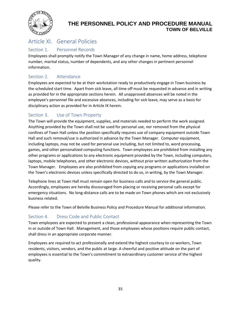

# <span id="page-40-0"></span>Article XI. General Policies

#### <span id="page-40-1"></span>Section 1. Personnel Records

Employees shall promptly notify the Town Manager of any change in name, home address, telephone number, marital status, number of dependents, and any other changes in pertinent personnel information.

#### <span id="page-40-2"></span>Section 2. Attendance

Employees are expected to be at their workstation ready to productively engage in Town business by the scheduled start time. Apart from sick leave, all time off must be requested in advance and in writing as provided for in the appropriate sections herein. All unapproved absences will be noted in the employee's personnel file and excessive absences, including for sick leave, may serve as a basis for disciplinary action as provided for in Article IX herein.

### <span id="page-40-3"></span>Section 3. Use of Town Property

The Town will provide the equipment, supplies, and materials needed to perform the work assigned. Anything provided by the Town shall not be used for personal use, nor removed from the physical confines of Town Hall unless the position specifically requires use of company equipment outside Town Hall and such removal/use is authorized in advance by the Town Manager. Computer equipment, including laptops, may not be used for personal use including, but not limited to, word processing, games, and other personalized computing functions. Town employees are prohibited from installing any other programs or applications to any electronic equipment provided by the Town, including computers, laptops, mobile telephones, and other electronic devices, without prior written authorization from the Town Manager. Employees are also prohibited from copying any programs or applications installed on the Town's electronic devices unless specifically directed to do so, in writing, by the Town Manager.

Telephone lines at Town Hall must remain open for business calls and to service the general public. Accordingly, employees are hereby discouraged from placing or receiving personal calls except for emergency situations. No long-distance calls are to be made on Town phones which are not exclusively business related.

Please refer to the Town of Belville Business Policy and Procedure Manual for additional information.

## <span id="page-40-4"></span>Section 4. Dress Code and Public Contact

Town employees are expected to present a clean, professional appearance when representing the Town in or outside of Town Hall. Management, and those employees whose positions require public contact, shall dress in an appropriate corporate manner.

Employees are required to act professionally and extend the highest courtesy to co-workers, Town residents, visitors, vendors, and the public at large. A cheerful and positive attitude on the part of employees is essential to the Town's commitment to extraordinary customer service of the highest quality.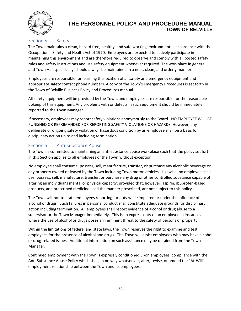

## <span id="page-41-0"></span>Section 5. Safety

The Town maintains a clean, hazard free, healthy, and safe working environment in accordance with the Occupational Safety and Health Act of 1970. Employees are expected to actively participate in maintaining this environment and are therefore required to observe and comply with all posted safety rules and safety instructions and use safety equipment whenever required. The workplace in general, and Town Hall specifically, should always be maintained in a neat, clean, and orderly manner.

Employees are responsible for learning the location of all safety and emergency equipment and appropriate safety contact phone numbers. A copy of the Town's Emergency Procedures is set forth in the Town of Belville Business Policy and Procedures manual.

All safety equipment will be provided by the Town, and employees are responsible for the reasonable upkeep of this equipment. Any problems with or defects in such equipment should be immediately reported to the Town Manager.

If necessary, employees may report safety violations anonymously to the Board. NO EMPLOYEE WILL BE PUNISHED OR REPRIMANDED FOR REPORTING SAFETY VIOLATIONS OR HAZARDS. However, any deliberate or ongoing safety violation or hazardous condition by an employee shall be a basis for disciplinary action up to and including termination.

#### <span id="page-41-1"></span>Section 6. Anti-Substance Abuse

The Town is committed to maintaining an anti-substance abuse workplace such that the policy set forth in this Section applies to all employees of the Town without exception.

No employee shall consume, possess, sell, manufacture, transfer, or purchase any alcoholic beverage on any property owned or leased by the Town including Town motor vehicles. Likewise, no employee shall use, possess, sell, manufacture, transfer, or purchase any drug or other controlled substance capable of altering an individual's mental or physical capacity; provided that, however, aspirin, ibuprofen-based products, and prescribed medicine used the manner prescribed, are not subject to this policy.

The Town will not tolerate employees reporting for duty while impaired or under the influence of alcohol or drugs. Such failures in personal conduct shall constitute adequate grounds for disciplinary action including termination. All employees shall report evidence of alcohol or drug abuse to a supervisor or the Town Manager immediately. This is an express duty of an employee in instances where the use of alcohol or drugs poses an imminent threat to the safety of persons or property.

Within the limitations of federal and state laws, the Town reserves the right to examine and test employees for the presence of alcohol and drugs. The Town will assist employees who may have alcohol or drug-related issues. Additional information on such assistance may be obtained from the Town Manager.

Continued employment with the Town is expressly conditioned upon employees' compliance with the Anti-Substance Abuse Policy which shall, in no way whatsoever, alter, revise, or amend the "At-Will" employment relationship between the Town and its employees.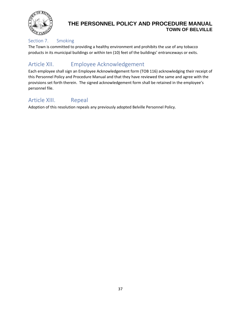

#### <span id="page-42-0"></span>Section 7. Smoking

The Town is committed to providing a healthy environment and prohibits the use of any tobacco products in its municipal buildings or within ten (10) feet of the buildings' entranceways or exits.

# <span id="page-42-1"></span>Article XII. Employee Acknowledgement

Each employee shall sign an Employee Acknowledgement form (TOB 116) acknowledging their receipt of this Personnel Policy and Procedure Manual and that they have reviewed the same and agree with the provisions set forth therein. The signed acknowledgement form shall be retained in the employee's personnel file.

# <span id="page-42-2"></span>Article XIII. Repeal

Adoption of this resolution repeals any previously adopted Belville Personnel Policy.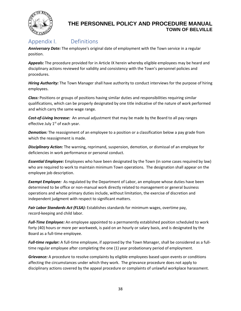

## <span id="page-43-0"></span>Appendix I. Definitions

*Anniversary Date:* The employee's original date of employment with the Town service in a regular position.

*Appeals:* The procedure provided for in Article IX herein whereby eligible employees may be heard and disciplinary actions reviewed for validity and consistency with the Town's personnel policies and procedures.

*Hiring Authority:* The Town Manager shall have authority to conduct interviews for the purpose of hiring employees.

*Class:* Positions or groups of positions having similar duties and responsibilities requiring similar qualifications, which can be properly designated by one title indicative of the nature of work performed and which carry the same wage range.

*Cost-of-Living Increase:* An annual adjustment that may be made by the Board to all pay ranges effective July 1<sup>st</sup> of each year.

*Demotion:* The reassignment of an employee to a position or a classification below a pay grade from which the reassignment is made.

*Disciplinary Action:* The warning, reprimand, suspension, demotion, or dismissal of an employee for deficiencies in work performance or personal conduct.

*Essential Employee:* Employees who have been designated by the Town (in some cases required by law) who are required to work to maintain minimum Town operations. The designation shall appear on the employee job description.

*Exempt Employee:* As regulated by the Department of Labor, an employee whose duties have been determined to be office or non-manual work directly related to management or general business operations and whose primary duties include, without limitation, the exercise of discretion and independent judgment with respect to significant matters.

*Fair Labor Standards Act (FLSA):* Establishes standards for minimum wages, overtime pay, record-keeping and child labor.

*Full-Time Employee:* An employee appointed to a permanently established position scheduled to work forty (40) hours or more per workweek, is paid on an hourly or salary basis, and is designated by the Board as a full-time employee.

*Full-time regular:* A full-time employee, if approved by the Town Manager, shall be considered as a fulltime regular employee after completing the one (1) year probationary period of employment.

*Grievance:* A procedure to resolve complaints by eligible employees based upon events or conditions affecting the circumstances under which they work. The grievance procedure does not apply to disciplinary actions covered by the appeal procedure or complaints of unlawful workplace harassment.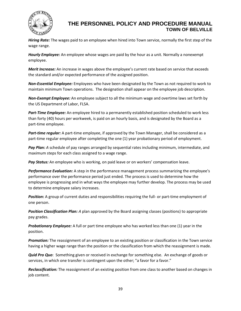

*Hiring Rate:* The wages paid to an employee when hired into Town service, normally the first step of the wage range.

*Hourly Employee:* An employee whose wages are paid by the hour as a unit*.* Normally a nonexempt employee.

*Merit Increase:* An increase in wages above the employee's current rate based on service that exceeds the standard and/or expected performance of the assigned position.

*Non-Essential Employee:* Employees who have been designated by the Town as not required to work to maintain minimum Town operations. The designation shall appear on the employee job description.

*Non-Exempt Employee:* An employee subject to all the minimum wage and overtime laws set forth by the US Department of Labor, FLSA.

*Part-Time Employee:* An employee hired to a permanently established position scheduled to work less than forty (40) hours per workweek, is paid on an hourly basis, and is designated by the Board as a part-time employee.

*Part-time regular:* A part-time employee, if approved by the Town Manager, shall be considered as a part-time regular employee after completing the one (1) year probationary period of employment.

Pay Plan: A schedule of pay ranges arranged by sequential rates including minimum, intermediate, and maximum steps for each class assigned to a wage range.

Pay Status: An employee who is working, on paid leave or on workers' compensation leave.

*Performance Evaluation:* A step in the performance management process summarizing the employee's performance over the performance period just ended. The process is used to determine how the employee is progressing and in what ways the employee may further develop. The process may be used to determine employee salary increases.

**Position:** A group of current duties and responsibilities requiring the full- or part-time employment of one person.

*Position Classification Plan: A* plan approved by the Board assigning classes (positions) to appropriate pay grades.

**Probationary Employee:** A full or part time employee who has worked less than one (1) year in the position.

*Promotion:* The reassignment of an employee to an existing position or classification in the Town service having a higher wage range than the position or the classification from which the reassignment is made.

*Quid Pro Quo*: Something given or received in exchange for something else. An exchange of goods or services, in which one transfer is contingent upon the other; "a favor for a favor."

*Reclassification:* The reassignment of an existing position from one class to another based on changes in job content.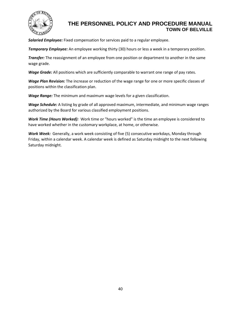

*Salaried Employee:* Fixed compensation for services paid to a regular employee.

*Temporary Employee:* An employee working thirty (30) hours or less a week in a temporary position.

*Transfer:* The reassignment of an employee from one position or department to another in the same wage grade.

*Wage Grade:* All positions which are sufficiently comparable to warrant one range of pay rates.

*Wage Plan Revision:* The increase or reduction of the wage range for one or more specific classes of positions within the classification plan.

*Wage Range:* The minimum and maximum wage levels for a given classification.

*Wage Schedule:* A listing by grade of all approved maximum, intermediate, and minimum wage ranges authorized by the Board for various classified employment positions.

*Work Time (Hours Worked):* Work time or "hours worked" is the time an employee is considered to have worked whether in the customary workplace, at home, or otherwise.

*Work Week:* Generally, a work week consisting of five (5) consecutive workdays, Monday through Friday, within a calendar week. A calendar week is defined as Saturday midnight to the next following Saturday midnight.